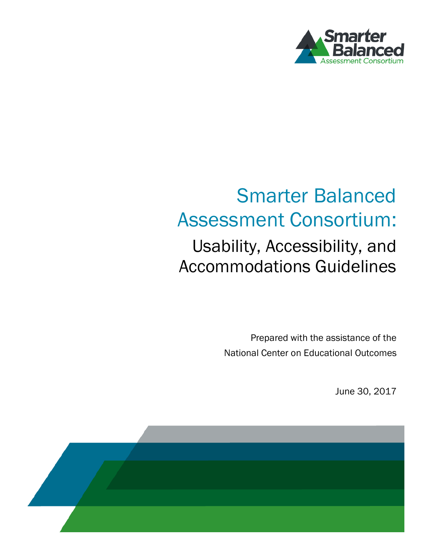

# l Assessment Consortium:  $\overline{a}$  Usability, Accessibility, and Accommodations Guidelines Smarter Balanced

Prepared with the assistance of the National Center on Educational Outcomes

June 30, 2017

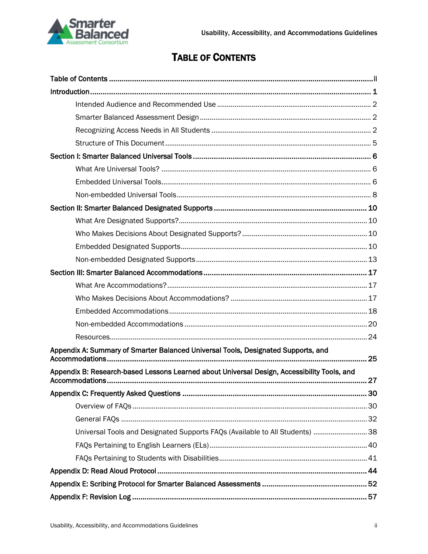

# **TABLE OF CONTENTS**

<span id="page-1-0"></span>

| Appendix A: Summary of Smarter Balanced Universal Tools, Designated Supports, and<br>Appendix B: Research-based Lessons Learned about Universal Design, Accessibility Tools, and<br>Universal Tools and Designated Supports FAQs (Available to All Students)  38 |  |
|------------------------------------------------------------------------------------------------------------------------------------------------------------------------------------------------------------------------------------------------------------------|--|
|                                                                                                                                                                                                                                                                  |  |
|                                                                                                                                                                                                                                                                  |  |
|                                                                                                                                                                                                                                                                  |  |
|                                                                                                                                                                                                                                                                  |  |
|                                                                                                                                                                                                                                                                  |  |
|                                                                                                                                                                                                                                                                  |  |
|                                                                                                                                                                                                                                                                  |  |
|                                                                                                                                                                                                                                                                  |  |
|                                                                                                                                                                                                                                                                  |  |
|                                                                                                                                                                                                                                                                  |  |
|                                                                                                                                                                                                                                                                  |  |
|                                                                                                                                                                                                                                                                  |  |
|                                                                                                                                                                                                                                                                  |  |
|                                                                                                                                                                                                                                                                  |  |
|                                                                                                                                                                                                                                                                  |  |
|                                                                                                                                                                                                                                                                  |  |
|                                                                                                                                                                                                                                                                  |  |
|                                                                                                                                                                                                                                                                  |  |
|                                                                                                                                                                                                                                                                  |  |
|                                                                                                                                                                                                                                                                  |  |
|                                                                                                                                                                                                                                                                  |  |
|                                                                                                                                                                                                                                                                  |  |
|                                                                                                                                                                                                                                                                  |  |
|                                                                                                                                                                                                                                                                  |  |
|                                                                                                                                                                                                                                                                  |  |
|                                                                                                                                                                                                                                                                  |  |
|                                                                                                                                                                                                                                                                  |  |
|                                                                                                                                                                                                                                                                  |  |
|                                                                                                                                                                                                                                                                  |  |
|                                                                                                                                                                                                                                                                  |  |
|                                                                                                                                                                                                                                                                  |  |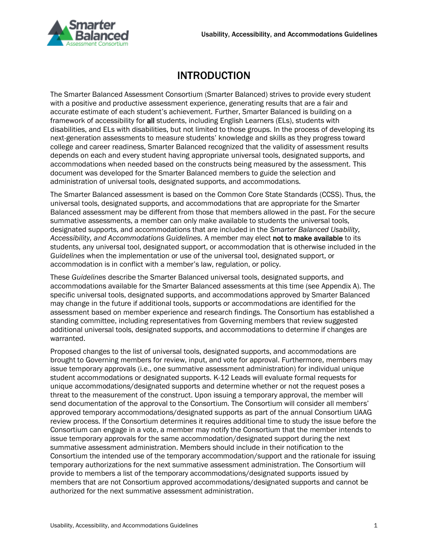

## INTRODUCTION

<span id="page-2-0"></span>The Smarter Balanced Assessment Consortium (Smarter Balanced) strives to provide every student with a positive and productive assessment experience, generating results that are a fair and accurate estimate of each student's achievement. Further, Smarter Balanced is building on a framework of accessibility for all students, including English Learners (ELs), students with disabilities, and ELs with disabilities, but not limited to those groups. In the process of developing its next-generation assessments to measure students' knowledge and skills as they progress toward college and career readiness, Smarter Balanced recognized that the validity of assessment results depends on each and every student having appropriate universal tools, designated supports, and accommodations when needed based on the constructs being measured by the assessment. This document was developed for the Smarter Balanced members to guide the selection and administration of universal tools, designated supports, and accommodations.

The Smarter Balanced assessment is based on the Common Core State Standards (CCSS). Thus, the universal tools, designated supports, and accommodations that are appropriate for the Smarter Balanced assessment may be different from those that members allowed in the past. For the secure summative assessments, a member can only make available to students the universal tools, designated supports, and accommodations that are included in the *Smarter Balanced Usability, Accessibility, and Accommodations Guidelines.* A member may elect not to make available to its students, any universal tool, designated support, or accommodation that is otherwise included in the *Guidelines* when the implementation or use of the universal tool, designated support, or accommodation is in conflict with a member's law, regulation, or policy.

These *Guidelines* describe the Smarter Balanced universal tools, designated supports, and accommodations available for the Smarter Balanced assessments at this time (see Appendix A). The specific universal tools, designated supports, and accommodations approved by Smarter Balanced may change in the future if additional tools, supports or accommodations are identified for the assessment based on member experience and research findings. The Consortium has established a standing committee, including representatives from Governing members that review suggested additional universal tools, designated supports, and accommodations to determine if changes are warranted.

Proposed changes to the list of universal tools, designated supports, and accommodations are brought to Governing members for review, input, and vote for approval. Furthermore, members may issue temporary approvals (i.e., one summative assessment administration) for individual unique student accommodations or designated supports. K-12 Leads will evaluate formal requests for unique accommodations/designated supports and determine whether or not the request poses a threat to the measurement of the construct. Upon issuing a temporary approval, the member will send documentation of the approval to the Consortium. The Consortium will consider all members' approved temporary accommodations/designated supports as part of the annual Consortium UAAG review process. If the Consortium determines it requires additional time to study the issue before the Consortium can engage in a vote, a member may notify the Consortium that the member intends to issue temporary approvals for the same accommodation/designated support during the next summative assessment administration. Members should include in their notification to the Consortium the intended use of the temporary accommodation/support and the rationale for issuing temporary authorizations for the next summative assessment administration. The Consortium will provide to members a list of the temporary accommodations/designated supports issued by members that are not Consortium approved accommodations/designated supports and cannot be authorized for the next summative assessment administration.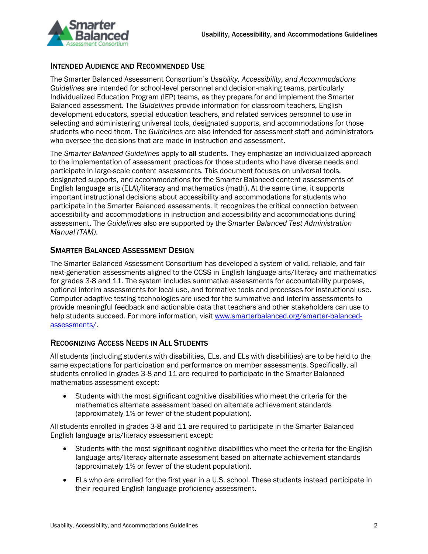

### <span id="page-3-0"></span>INTENDED AUDIENCE AND RECOMMENDED USE

The Smarter Balanced Assessment Consortium's *Usability, Accessibility, and Accommodations Guidelines* are intended for school-level personnel and decision-making teams, particularly Individualized Education Program (IEP) teams, as they prepare for and implement the Smarter Balanced assessment. The *Guidelines* provide information for classroom teachers, English development educators, special education teachers, and related services personnel to use in selecting and administering universal tools, designated supports, and accommodations for those students who need them. The *Guidelines* are also intended for assessment staff and administrators who oversee the decisions that are made in instruction and assessment.

The *Smarter Balanced Guidelines* apply to all students. They emphasize an individualized approach to the implementation of assessment practices for those students who have diverse needs and participate in large-scale content assessments. This document focuses on universal tools, designated supports, and accommodations for the Smarter Balanced content assessments of English language arts (ELA)/literacy and mathematics (math). At the same time, it supports important instructional decisions about accessibility and accommodations for students who participate in the Smarter Balanced assessments. It recognizes the critical connection between accessibility and accommodations in instruction and accessibility and accommodations during assessment. The *Guidelines* also are supported by the *Smarter Balanced Test Administration Manual (TAM)*.

### <span id="page-3-1"></span>SMARTER BALANCED ASSESSMENT DESIGN

The Smarter Balanced Assessment Consortium has developed a system of valid, reliable, and fair next-generation assessments aligned to the CCSS in English language arts/literacy and mathematics for grades 3-8 and 11. The system includes summative assessments for accountability purposes, optional interim assessments for local use, and formative tools and processes for instructional use. Computer adaptive testing technologies are used for the summative and interim assessments to provide meaningful feedback and actionable data that teachers and other stakeholders can use to help students succeed. For more information, visit [www.smarterbalanced.org/smarter-balanced](http://www.smarterbalanced.org/smarter-balanced-assessments/)[assessments/.](http://www.smarterbalanced.org/smarter-balanced-assessments/)

### <span id="page-3-2"></span>RECOGNIZING ACCESS NEEDS IN ALL STUDENTS

All students (including students with disabilities, ELs, and ELs with disabilities) are to be held to the same expectations for participation and performance on member assessments. Specifically, all students enrolled in grades 3-8 and 11 are required to participate in the Smarter Balanced mathematics assessment except:

• Students with the most significant cognitive disabilities who meet the criteria for the mathematics alternate assessment based on alternate achievement standards (approximately 1% or fewer of the student population).

All students enrolled in grades 3-8 and 11 are required to participate in the Smarter Balanced English language arts/literacy assessment except:

- Students with the most significant cognitive disabilities who meet the criteria for the English language arts/literacy alternate assessment based on alternate achievement standards (approximately 1% or fewer of the student population).
- ELs who are enrolled for the first year in a U.S. school. These students instead participate in their required English language proficiency assessment.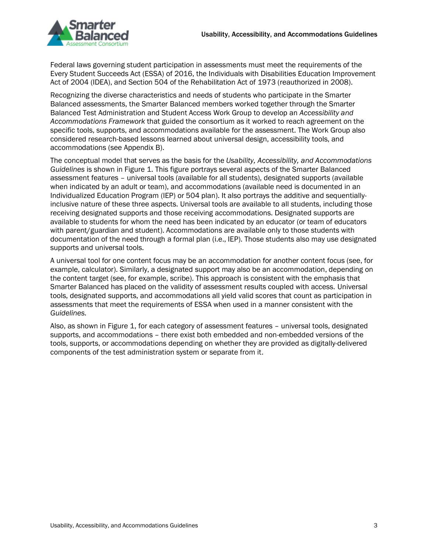

Federal laws governing student participation in assessments must meet the requirements of the Every Student Succeeds Act (ESSA) of 2016, the Individuals with Disabilities Education Improvement Act of 2004 (IDEA), and Section 504 of the Rehabilitation Act of 1973 (reauthorized in 2008).

Recognizing the diverse characteristics and needs of students who participate in the Smarter Balanced assessments, the Smarter Balanced members worked together through the Smarter Balanced Test Administration and Student Access Work Group to develop an *Accessibility and Accommodations Framework* that guided the consortium as it worked to reach agreement on the specific tools, supports, and accommodations available for the assessment. The Work Group also considered research-based lessons learned about universal design, accessibility tools, and accommodations (see Appendix B).

The conceptual model that serves as the basis for the *Usability, Accessibility, and Accommodations Guidelines* is shown in Figure 1. This figure portrays several aspects of the Smarter Balanced assessment features – universal tools (available for all students), designated supports (available when indicated by an adult or team), and accommodations (available need is documented in an Individualized Education Program (IEP) or 504 plan). It also portrays the additive and sequentiallyinclusive nature of these three aspects. Universal tools are available to all students, including those receiving designated supports and those receiving accommodations. Designated supports are available to students for whom the need has been indicated by an educator (or team of educators with parent/guardian and student). Accommodations are available only to those students with documentation of the need through a formal plan (i.e., IEP). Those students also may use designated supports and universal tools.

A universal tool for one content focus may be an accommodation for another content focus (see, for example, calculator). Similarly, a designated support may also be an accommodation, depending on the content target (see, for example, scribe). This approach is consistent with the emphasis that Smarter Balanced has placed on the validity of assessment results coupled with access. Universal tools, designated supports, and accommodations all yield valid scores that count as participation in assessments that meet the requirements of ESSA when used in a manner consistent with the *Guidelines.*

Also, as shown in Figure 1, for each category of assessment features – universal tools, designated supports, and accommodations – there exist both embedded and non-embedded versions of the tools, supports, or accommodations depending on whether they are provided as digitally-delivered components of the test administration system or separate from it.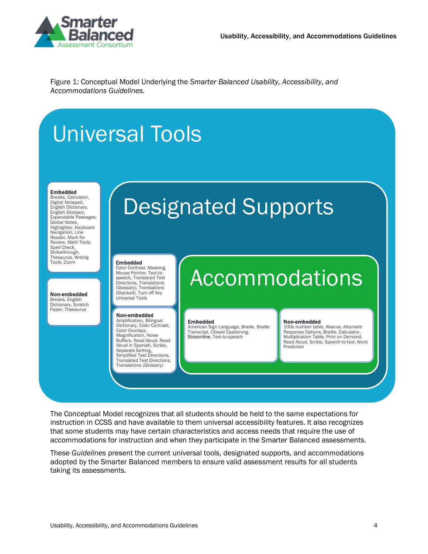

Figure 1: Conceptual Model Underlying the *Smarter Balanced Usability, Accessibility, and Accommodations Guidelines.*

# Universal Tools

#### Embedded

Breaks, Calculator, Digital Notepad, English Dictionary, English Glossary, Expandable Passages, Global Notes, Highlighter, Keyboard Navigation, Line Reader, Mark for Review, Math Tools, Spell Check, Strikethrough, Thesaurus, Writing Tools, Zoom

Non-embedded Breaks, English Dictionary, Scratch Paper, Thesaurus

# Designated Supports

#### Embedded

Color Contrast, Masking, Mouse Pointer, Text-tospeech, Translated Test Directions, Translations (Glossary), Translations (Stacked), Turn off Any Universal Tools

#### Non-embedded

Amplification, Bilingual Dictionary, Color Contrast, Color Overlays, Magnification, Noise Buffers, Read Aloud, Read Aloud in Spanish, Scribe, Separate Setting, Simplified Test Directions, Translated Test Directions, Translations (Glossary)

# Accommodations

#### Embedded

American Sign Language, Braille, Braille Transcript, Closed Captioning, Streamline, Text-to-speech

#### Non-embedded

100s number table, Abacus, Alternate Response Options, Braille, Calculator, Multiplication Table, Print on Demand, Read Aloud, Scribe, Speech-to-text, Word Prediction

The Conceptual Model recognizes that all students should be held to the same expectations for instruction in CCSS and have available to them universal accessibility features. It also recognizes that some students may have certain characteristics and access needs that require the use of accommodations for instruction and when they participate in the Smarter Balanced assessments.

These *Guidelines* present the current universal tools, designated supports, and accommodations adopted by the Smarter Balanced members to ensure valid assessment results for all students taking its assessments.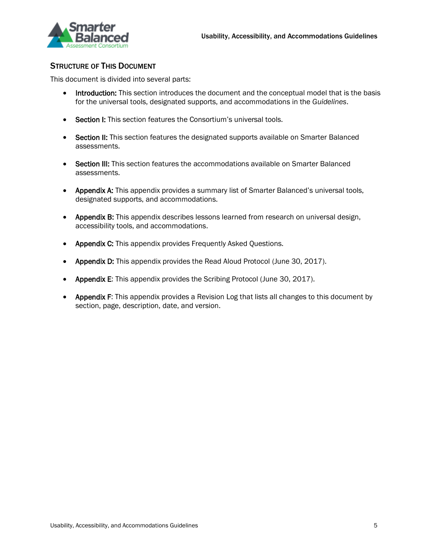

### <span id="page-6-0"></span>STRUCTURE OF THIS DOCUMENT

This document is divided into several parts:

- Introduction: This section introduces the document and the conceptual model that is the basis for the universal tools, designated supports, and accommodations in the *Guidelines*.
- Section I: This section features the Consortium's universal tools.
- Section II: This section features the designated supports available on Smarter Balanced assessments.
- Section III: This section features the accommodations available on Smarter Balanced assessments.
- Appendix A: This appendix provides a summary list of Smarter Balanced's universal tools, designated supports, and accommodations.
- Appendix B: This appendix describes lessons learned from research on universal design, accessibility tools, and accommodations.
- Appendix C: This appendix provides Frequently Asked Questions.
- Appendix D: This appendix provides the Read Aloud Protocol (June 30, 2017).
- Appendix E: This appendix provides the Scribing Protocol (June 30, 2017).
- Appendix F: This appendix provides a Revision Log that lists all changes to this document by section, page, description, date, and version.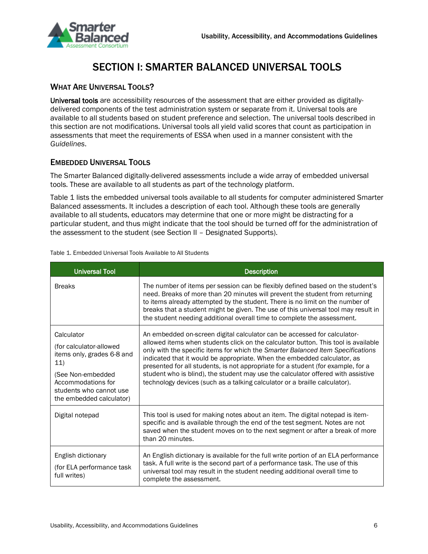

# SECTION I: SMARTER BALANCED UNIVERSAL TOOLS

### <span id="page-7-1"></span><span id="page-7-0"></span>WHAT ARE UNIVERSAL TOOLS?

Universal tools are accessibility resources of the assessment that are either provided as digitallydelivered components of the test administration system or separate from it. Universal tools are available to all students based on student preference and selection. The universal tools described in this section are not modifications. Universal tools all yield valid scores that count as participation in assessments that meet the requirements of ESSA when used in a manner consistent with the *Guidelines*.

### <span id="page-7-2"></span>EMBEDDED UNIVERSAL TOOLS

The Smarter Balanced digitally-delivered assessments include a wide array of embedded universal tools. These are available to all students as part of the technology platform.

Table 1 lists the embedded universal tools available to all students for computer administered Smarter Balanced assessments. It includes a description of each tool. Although these tools are generally available to all students, educators may determine that one or more might be distracting for a particular student, and thus might indicate that the tool should be turned off for the administration of the assessment to the student (see Section II – Designated Supports).

Table 1. Embedded Universal Tools Available to All Students

| <b>Universal Tool</b>                                                                                                                                                        | <b>Description</b>                                                                                                                                                                                                                                                                                                                                                                                                                                                                                                                                                                  |  |
|------------------------------------------------------------------------------------------------------------------------------------------------------------------------------|-------------------------------------------------------------------------------------------------------------------------------------------------------------------------------------------------------------------------------------------------------------------------------------------------------------------------------------------------------------------------------------------------------------------------------------------------------------------------------------------------------------------------------------------------------------------------------------|--|
| <b>Breaks</b>                                                                                                                                                                | The number of items per session can be flexibly defined based on the student's<br>need. Breaks of more than 20 minutes will prevent the student from returning<br>to items already attempted by the student. There is no limit on the number of<br>breaks that a student might be given. The use of this universal tool may result in<br>the student needing additional overall time to complete the assessment.                                                                                                                                                                    |  |
| Calculator<br>(for calculator-allowed<br>items only, grades 6-8 and<br>11)<br>(See Non-embedded<br>Accommodations for<br>students who cannot use<br>the embedded calculator) | An embedded on-screen digital calculator can be accessed for calculator-<br>allowed items when students click on the calculator button. This tool is available<br>only with the specific items for which the Smarter Balanced Item Specifications<br>indicated that it would be appropriate. When the embedded calculator, as<br>presented for all students, is not appropriate for a student (for example, for a<br>student who is blind), the student may use the calculator offered with assistive<br>technology devices (such as a talking calculator or a braille calculator). |  |
| Digital notepad                                                                                                                                                              | This tool is used for making notes about an item. The digital notepad is item-<br>specific and is available through the end of the test segment. Notes are not<br>saved when the student moves on to the next segment or after a break of more<br>than 20 minutes.                                                                                                                                                                                                                                                                                                                  |  |
| English dictionary<br>(for ELA performance task<br>full writes)                                                                                                              | An English dictionary is available for the full write portion of an ELA performance<br>task. A full write is the second part of a performance task. The use of this<br>universal tool may result in the student needing additional overall time to<br>complete the assessment.                                                                                                                                                                                                                                                                                                      |  |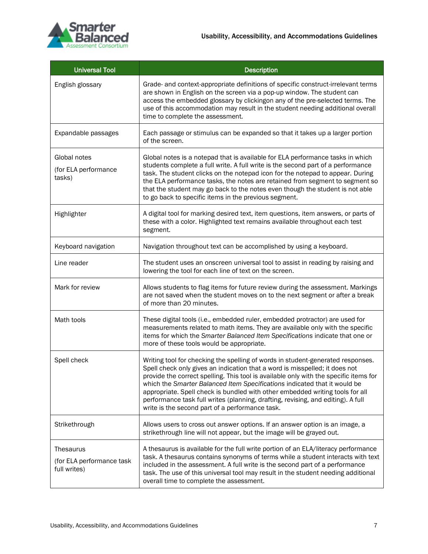

| <b>Universal Tool</b>                                  | <b>Description</b>                                                                                                                                                                                                                                                                                                                                                                                                                                                                                                                                           |
|--------------------------------------------------------|--------------------------------------------------------------------------------------------------------------------------------------------------------------------------------------------------------------------------------------------------------------------------------------------------------------------------------------------------------------------------------------------------------------------------------------------------------------------------------------------------------------------------------------------------------------|
| English glossary                                       | Grade- and context-appropriate definitions of specific construct-irrelevant terms<br>are shown in English on the screen via a pop-up window. The student can<br>access the embedded glossary by clickingon any of the pre-selected terms. The<br>use of this accommodation may result in the student needing additional overall<br>time to complete the assessment.                                                                                                                                                                                          |
| Expandable passages                                    | Each passage or stimulus can be expanded so that it takes up a larger portion<br>of the screen.                                                                                                                                                                                                                                                                                                                                                                                                                                                              |
| Global notes<br>(for ELA performance<br>tasks)         | Global notes is a notepad that is available for ELA performance tasks in which<br>students complete a full write. A full write is the second part of a performance<br>task. The student clicks on the notepad icon for the notepad to appear. During<br>the ELA performance tasks, the notes are retained from segment to segment so<br>that the student may go back to the notes even though the student is not able<br>to go back to specific items in the previous segment.                                                                               |
| Highlighter                                            | A digital tool for marking desired text, item questions, item answers, or parts of<br>these with a color. Highlighted text remains available throughout each test<br>segment.                                                                                                                                                                                                                                                                                                                                                                                |
| Keyboard navigation                                    | Navigation throughout text can be accomplished by using a keyboard.                                                                                                                                                                                                                                                                                                                                                                                                                                                                                          |
| Line reader                                            | The student uses an onscreen universal tool to assist in reading by raising and<br>lowering the tool for each line of text on the screen.                                                                                                                                                                                                                                                                                                                                                                                                                    |
| Mark for review                                        | Allows students to flag items for future review during the assessment. Markings<br>are not saved when the student moves on to the next segment or after a break<br>of more than 20 minutes.                                                                                                                                                                                                                                                                                                                                                                  |
| Math tools                                             | These digital tools (i.e., embedded ruler, embedded protractor) are used for<br>measurements related to math items. They are available only with the specific<br>items for which the Smarter Balanced Item Specifications indicate that one or<br>more of these tools would be appropriate.                                                                                                                                                                                                                                                                  |
| Spell check                                            | Writing tool for checking the spelling of words in student-generated responses.<br>Spell check only gives an indication that a word is misspelled; it does not<br>provide the correct spelling. This tool is available only with the specific items for<br>which the Smarter Balanced Item Specifications indicated that it would be<br>appropriate. Spell check is bundled with other embedded writing tools for all<br>performance task full writes (planning, drafting, revising, and editing). A full<br>write is the second part of a performance task. |
| Strikethrough                                          | Allows users to cross out answer options. If an answer option is an image, a<br>strikethrough line will not appear, but the image will be grayed out.                                                                                                                                                                                                                                                                                                                                                                                                        |
| Thesaurus<br>(for ELA performance task<br>full writes) | A thesaurus is available for the full write portion of an ELA/literacy performance<br>task. A thesaurus contains synonyms of terms while a student interacts with text<br>included in the assessment. A full write is the second part of a performance<br>task. The use of this universal tool may result in the student needing additional<br>overall time to complete the assessment.                                                                                                                                                                      |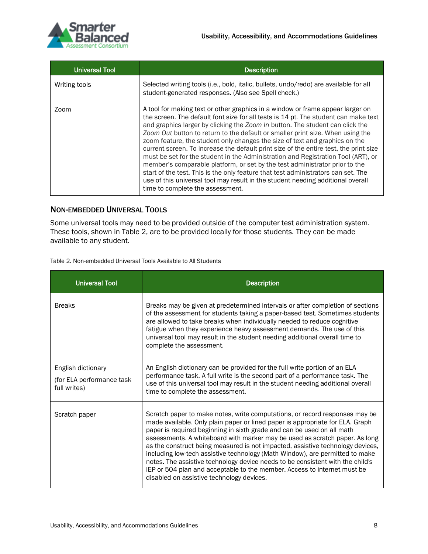

| <b>Universal Tool</b> | <b>Description</b>                                                                                                                                                                                                                                                                                                                                                                                                                                                                                                                                                                                                                                                                                                                                                                                                                                                                               |
|-----------------------|--------------------------------------------------------------------------------------------------------------------------------------------------------------------------------------------------------------------------------------------------------------------------------------------------------------------------------------------------------------------------------------------------------------------------------------------------------------------------------------------------------------------------------------------------------------------------------------------------------------------------------------------------------------------------------------------------------------------------------------------------------------------------------------------------------------------------------------------------------------------------------------------------|
| Writing tools         | Selected writing tools (i.e., bold, italic, bullets, undo/redo) are available for all<br>student-generated responses. (Also see Spell check.)                                                                                                                                                                                                                                                                                                                                                                                                                                                                                                                                                                                                                                                                                                                                                    |
| Zoom                  | A tool for making text or other graphics in a window or frame appear larger on<br>the screen. The default font size for all tests is 14 pt. The student can make text<br>and graphics larger by clicking the Zoom In button. The student can click the<br>Zoom Out button to return to the default or smaller print size. When using the<br>zoom feature, the student only changes the size of text and graphics on the<br>current screen. To increase the default print size of the entire test, the print size<br>must be set for the student in the Administration and Registration Tool (ART), or<br>member's comparable platform, or set by the test administrator prior to the<br>start of the test. This is the only feature that test administrators can set. The<br>use of this universal tool may result in the student needing additional overall<br>time to complete the assessment. |

### <span id="page-9-0"></span>NON-EMBEDDED UNIVERSAL TOOLS

Some universal tools may need to be provided outside of the computer test administration system. These tools, shown in Table 2, are to be provided locally for those students. They can be made available to any student.

Table 2. Non-embedded Universal Tools Available to All Students

| <b>Universal Tool</b>                                           | <b>Description</b>                                                                                                                                                                                                                                                                                                                                                                                                                                                                                                                                                                                                                                                                                 |
|-----------------------------------------------------------------|----------------------------------------------------------------------------------------------------------------------------------------------------------------------------------------------------------------------------------------------------------------------------------------------------------------------------------------------------------------------------------------------------------------------------------------------------------------------------------------------------------------------------------------------------------------------------------------------------------------------------------------------------------------------------------------------------|
| <b>Breaks</b>                                                   | Breaks may be given at predetermined intervals or after completion of sections<br>of the assessment for students taking a paper-based test. Sometimes students<br>are allowed to take breaks when individually needed to reduce cognitive<br>fatigue when they experience heavy assessment demands. The use of this<br>universal tool may result in the student needing additional overall time to<br>complete the assessment.                                                                                                                                                                                                                                                                     |
| English dictionary<br>(for ELA performance task<br>full writes) | An English dictionary can be provided for the full write portion of an ELA<br>performance task. A full write is the second part of a performance task. The<br>use of this universal tool may result in the student needing additional overall<br>time to complete the assessment.                                                                                                                                                                                                                                                                                                                                                                                                                  |
| Scratch paper                                                   | Scratch paper to make notes, write computations, or record responses may be<br>made available. Only plain paper or lined paper is appropriate for ELA. Graph<br>paper is required beginning in sixth grade and can be used on all math<br>assessments. A whiteboard with marker may be used as scratch paper. As long<br>as the construct being measured is not impacted, assistive technology devices,<br>including low-tech assistive technology (Math Window), are permitted to make<br>notes. The assistive technology device needs to be consistent with the child's<br>IEP or 504 plan and acceptable to the member. Access to internet must be<br>disabled on assistive technology devices. |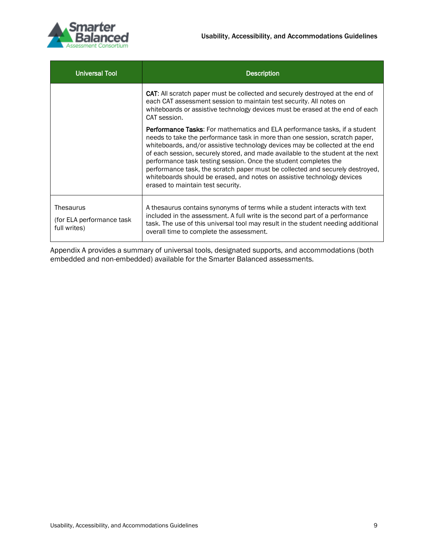

| <b>Universal Tool</b>                                   | <b>Description</b>                                                                                                                                                                                                                                                                                                                                                                                                                                                                                                                                                                                       |  |
|---------------------------------------------------------|----------------------------------------------------------------------------------------------------------------------------------------------------------------------------------------------------------------------------------------------------------------------------------------------------------------------------------------------------------------------------------------------------------------------------------------------------------------------------------------------------------------------------------------------------------------------------------------------------------|--|
|                                                         | <b>CAT:</b> All scratch paper must be collected and securely destroyed at the end of<br>each CAT assessment session to maintain test security. All notes on<br>whiteboards or assistive technology devices must be erased at the end of each<br>CAT session.                                                                                                                                                                                                                                                                                                                                             |  |
|                                                         | <b>Performance Tasks:</b> For mathematics and ELA performance tasks, if a student<br>needs to take the performance task in more than one session, scratch paper,<br>whiteboards, and/or assistive technology devices may be collected at the end<br>of each session, securely stored, and made available to the student at the next<br>performance task testing session. Once the student completes the<br>performance task, the scratch paper must be collected and securely destroyed,<br>whiteboards should be erased, and notes on assistive technology devices<br>erased to maintain test security. |  |
| Thesaurus<br>(for ELA performance task)<br>full writes) | A thesaurus contains synonyms of terms while a student interacts with text<br>included in the assessment. A full write is the second part of a performance<br>task. The use of this universal tool may result in the student needing additional<br>overall time to complete the assessment.                                                                                                                                                                                                                                                                                                              |  |

Appendix A provides a summary of universal tools, designated supports, and accommodations (both embedded and non-embedded) available for the Smarter Balanced assessments.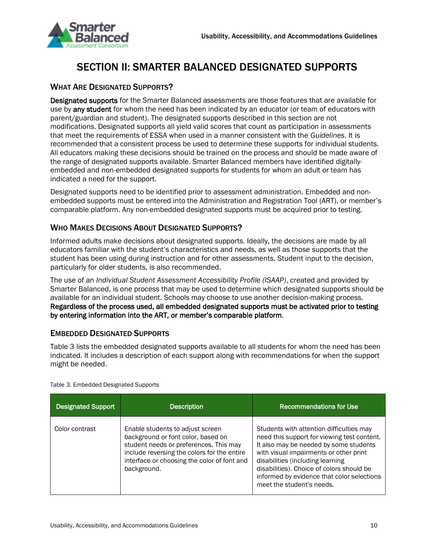

## SECTION II: SMARTER BALANCED DESIGNATED SUPPORTS

### <span id="page-11-1"></span><span id="page-11-0"></span>WHAT ARE DESIGNATED SUPPORTS?

Designated supports for the Smarter Balanced assessments are those features that are available for use by any student for whom the need has been indicated by an educator (or team of educators with parent/guardian and student). The designated supports described in this section are not modifications. Designated supports all yield valid scores that count as participation in assessments that meet the requirements of ESSA when used in a manner consistent with the *Guidelines*. It is recommended that a consistent process be used to determine these supports for individual students. All educators making these decisions should be trained on the process and should be made aware of the range of designated supports available. Smarter Balanced members have identified digitallyembedded and non-embedded designated supports for students for whom an adult or team has indicated a need for the support.

Designated supports need to be identified prior to assessment administration. Embedded and nonembedded supports must be entered into the Administration and Registration Tool (ART), or member's comparable platform. Any non-embedded designated supports must be acquired prior to testing.

### <span id="page-11-2"></span>WHO MAKES DECISIONS ABOUT DESIGNATED SUPPORTS?

Informed adults make decisions about designated supports. Ideally, the decisions are made by all educators familiar with the student's characteristics and needs, as well as those supports that the student has been using during instruction and for other assessments. Student input to the decision, particularly for older students, is also recommended.

The use of an *Individual Student Assessment Accessibility Profile (ISAAP)*, created and provided by Smarter Balanced, is one process that may be used to determine which designated supports should be available for an individual student. Schools may choose to use another decision-making process. Regardless of the process used, all embedded designated supports must be activated prior to testing by entering information into the ART, or member's comparable platform.

### <span id="page-11-3"></span>EMBEDDED DESIGNATED SUPPORTS

Table 3 lists the embedded designated supports available to all students for whom the need has been indicated. It includes a description of each support along with recommendations for when the support might be needed.

| <b>Designated Support</b> | <b>Description</b>                                                                                                                                                                                                            | <b>Recommendations for Use</b>                                                                                                                                                                                                                                                                                                          |
|---------------------------|-------------------------------------------------------------------------------------------------------------------------------------------------------------------------------------------------------------------------------|-----------------------------------------------------------------------------------------------------------------------------------------------------------------------------------------------------------------------------------------------------------------------------------------------------------------------------------------|
| Color contrast            | Enable students to adjust screen<br>background or font color, based on<br>student needs or preferences. This may<br>include reversing the colors for the entire<br>interface or choosing the color of font and<br>background. | Students with attention difficulties may<br>need this support for viewing test content.<br>It also may be needed by some students<br>with visual impairments or other print<br>disabilities (including learning<br>disabilities). Choice of colors should be<br>informed by evidence that color selections<br>meet the student's needs. |

#### Table 3. Embedded Designated Supports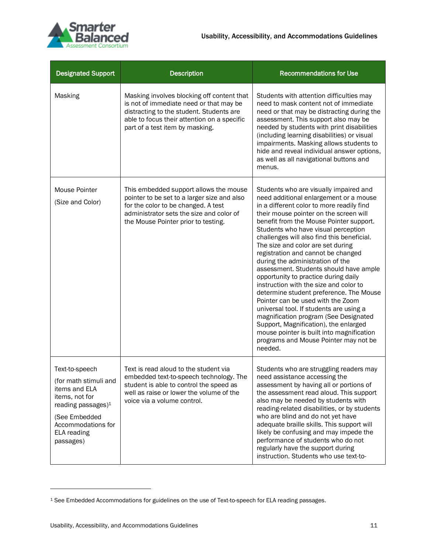

| <b>Designated Support</b>                                                                                                                                                       | <b>Description</b>                                                                                                                                                                                                  | <b>Recommendations for Use</b>                                                                                                                                                                                                                                                                                                                                                                                                                                                                                                                                                                                                                                                                                                                                                                                                                                   |
|---------------------------------------------------------------------------------------------------------------------------------------------------------------------------------|---------------------------------------------------------------------------------------------------------------------------------------------------------------------------------------------------------------------|------------------------------------------------------------------------------------------------------------------------------------------------------------------------------------------------------------------------------------------------------------------------------------------------------------------------------------------------------------------------------------------------------------------------------------------------------------------------------------------------------------------------------------------------------------------------------------------------------------------------------------------------------------------------------------------------------------------------------------------------------------------------------------------------------------------------------------------------------------------|
| <b>Masking</b>                                                                                                                                                                  | Masking involves blocking off content that<br>is not of immediate need or that may be<br>distracting to the student. Students are<br>able to focus their attention on a specific<br>part of a test item by masking. | Students with attention difficulties may<br>need to mask content not of immediate<br>need or that may be distracting during the<br>assessment. This support also may be<br>needed by students with print disabilities<br>(including learning disabilities) or visual<br>impairments. Masking allows students to<br>hide and reveal individual answer options,<br>as well as all navigational buttons and<br>menus.                                                                                                                                                                                                                                                                                                                                                                                                                                               |
| Mouse Pointer<br>(Size and Color)                                                                                                                                               | This embedded support allows the mouse<br>pointer to be set to a larger size and also<br>for the color to be changed. A test<br>administrator sets the size and color of<br>the Mouse Pointer prior to testing.     | Students who are visually impaired and<br>need additional enlargement or a mouse<br>in a different color to more readily find<br>their mouse pointer on the screen will<br>benefit from the Mouse Pointer support.<br>Students who have visual perception<br>challenges will also find this beneficial.<br>The size and color are set during<br>registration and cannot be changed<br>during the administration of the<br>assessment. Students should have ample<br>opportunity to practice during daily<br>instruction with the size and color to<br>determine student preference. The Mouse<br>Pointer can be used with the Zoom<br>universal tool. If students are using a<br>magnification program (See Designated<br>Support, Magnification), the enlarged<br>mouse pointer is built into magnification<br>programs and Mouse Pointer may not be<br>needed. |
| Text-to-speech<br>(for math stimuli and<br>items and ELA<br>items, not for<br>reading passages) <sup>1</sup><br>(See Embedded<br>Accommodations for<br>ELA reading<br>passages) | Text is read aloud to the student via<br>embedded text-to-speech technology. The<br>student is able to control the speed as<br>well as raise or lower the volume of the<br>voice via a volume control.              | Students who are struggling readers may<br>need assistance accessing the<br>assessment by having all or portions of<br>the assessment read aloud. This support<br>also may be needed by students with<br>reading-related disabilities, or by students<br>who are blind and do not yet have<br>adequate braille skills. This support will<br>likely be confusing and may impede the<br>performance of students who do not<br>regularly have the support during<br>instruction. Students who use text-to-                                                                                                                                                                                                                                                                                                                                                          |

<sup>1</sup> See Embedded Accommodations for guidelines on the use of Text-to-speech for ELA reading passages.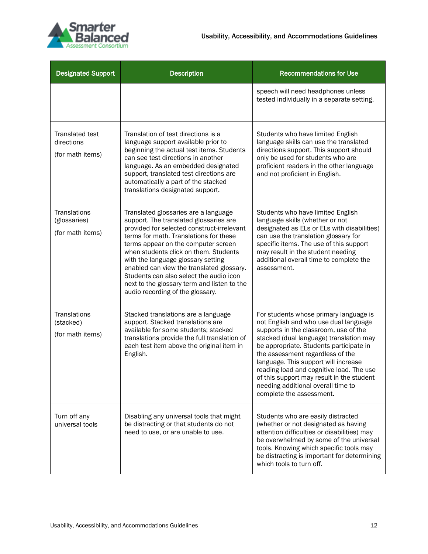

| <b>Designated Support</b>                                | <b>Description</b>                                                                                                                                                                                                                                                                                                                                                                                                                                                      | <b>Recommendations for Use</b>                                                                                                                                                                                                                                                                                                                                                                                                                        |
|----------------------------------------------------------|-------------------------------------------------------------------------------------------------------------------------------------------------------------------------------------------------------------------------------------------------------------------------------------------------------------------------------------------------------------------------------------------------------------------------------------------------------------------------|-------------------------------------------------------------------------------------------------------------------------------------------------------------------------------------------------------------------------------------------------------------------------------------------------------------------------------------------------------------------------------------------------------------------------------------------------------|
|                                                          |                                                                                                                                                                                                                                                                                                                                                                                                                                                                         | speech will need headphones unless<br>tested individually in a separate setting.                                                                                                                                                                                                                                                                                                                                                                      |
| <b>Translated test</b><br>directions<br>(for math items) | Translation of test directions is a<br>language support available prior to<br>beginning the actual test items. Students<br>can see test directions in another<br>language. As an embedded designated<br>support, translated test directions are<br>automatically a part of the stacked<br>translations designated support.                                                                                                                                              | Students who have limited English<br>language skills can use the translated<br>directions support. This support should<br>only be used for students who are<br>proficient readers in the other language<br>and not proficient in English.                                                                                                                                                                                                             |
| Translations<br>(glossaries)<br>(for math items)         | Translated glossaries are a language<br>support. The translated glossaries are<br>provided for selected construct-irrelevant<br>terms for math. Translations for these<br>terms appear on the computer screen<br>when students click on them. Students<br>with the language glossary setting<br>enabled can view the translated glossary.<br>Students can also select the audio icon<br>next to the glossary term and listen to the<br>audio recording of the glossary. | Students who have limited English<br>language skills (whether or not<br>designated as ELs or ELs with disabilities)<br>can use the translation glossary for<br>specific items. The use of this support<br>may result in the student needing<br>additional overall time to complete the<br>assessment.                                                                                                                                                 |
| Translations<br>(stacked)<br>(for math items)            | Stacked translations are a language<br>support. Stacked translations are<br>available for some students; stacked<br>translations provide the full translation of<br>each test item above the original item in<br>English.                                                                                                                                                                                                                                               | For students whose primary language is<br>not English and who use dual language<br>supports in the classroom, use of the<br>stacked (dual language) translation may<br>be appropriate. Students participate in<br>the assessment regardless of the<br>language. This support will increase<br>reading load and cognitive load. The use<br>of this support may result in the student<br>needing additional overall time to<br>complete the assessment. |
| Turn off any<br>universal tools                          | Disabling any universal tools that might<br>be distracting or that students do not<br>need to use, or are unable to use.                                                                                                                                                                                                                                                                                                                                                | Students who are easily distracted<br>(whether or not designated as having<br>attention difficulties or disabilities) may<br>be overwhelmed by some of the universal<br>tools. Knowing which specific tools may<br>be distracting is important for determining<br>which tools to turn off.                                                                                                                                                            |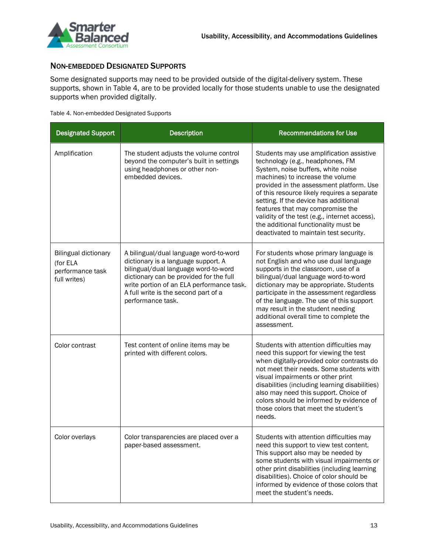

### <span id="page-14-0"></span>NON-EMBEDDED DESIGNATED SUPPORTS

Some designated supports may need to be provided outside of the digital-delivery system. These supports, shown in Table 4, are to be provided locally for those students unable to use the designated supports when provided digitally.

#### Table 4. Non-embedded Designated Supports

| <b>Designated Support</b>                                                   | <b>Description</b>                                                                                                                                                                                                                                                         | <b>Recommendations for Use</b>                                                                                                                                                                                                                                                                                                                                                                                                                                    |
|-----------------------------------------------------------------------------|----------------------------------------------------------------------------------------------------------------------------------------------------------------------------------------------------------------------------------------------------------------------------|-------------------------------------------------------------------------------------------------------------------------------------------------------------------------------------------------------------------------------------------------------------------------------------------------------------------------------------------------------------------------------------------------------------------------------------------------------------------|
| Amplification                                                               | The student adjusts the volume control<br>beyond the computer's built in settings<br>using headphones or other non-<br>embedded devices.                                                                                                                                   | Students may use amplification assistive<br>technology (e.g., headphones, FM<br>System, noise buffers, white noise<br>machines) to increase the volume<br>provided in the assessment platform. Use<br>of this resource likely requires a separate<br>setting. If the device has additional<br>features that may compromise the<br>validity of the test (e.g., internet access),<br>the additional functionality must be<br>deactivated to maintain test security. |
| <b>Bilingual dictionary</b><br>(for ELA<br>performance task<br>full writes) | A bilingual/dual language word-to-word<br>dictionary is a language support. A<br>bilingual/dual language word-to-word<br>dictionary can be provided for the full<br>write portion of an ELA performance task.<br>A full write is the second part of a<br>performance task. | For students whose primary language is<br>not English and who use dual language<br>supports in the classroom, use of a<br>bilingual/dual language word-to-word<br>dictionary may be appropriate. Students<br>participate in the assessment regardless<br>of the language. The use of this support<br>may result in the student needing<br>additional overall time to complete the<br>assessment.                                                                  |
| Color contrast                                                              | Test content of online items may be<br>printed with different colors.                                                                                                                                                                                                      | Students with attention difficulties may<br>need this support for viewing the test<br>when digitally-provided color contrasts do<br>not meet their needs. Some students with<br>visual impairments or other print<br>disabilities (including learning disabilities)<br>also may need this support. Choice of<br>colors should be informed by evidence of<br>those colors that meet the student's<br>needs.                                                        |
| Color overlays                                                              | Color transparencies are placed over a<br>paper-based assessment.                                                                                                                                                                                                          | Students with attention difficulties may<br>need this support to view test content.<br>This support also may be needed by<br>some students with visual impairments or<br>other print disabilities (including learning<br>disabilities). Choice of color should be<br>informed by evidence of those colors that<br>meet the student's needs.                                                                                                                       |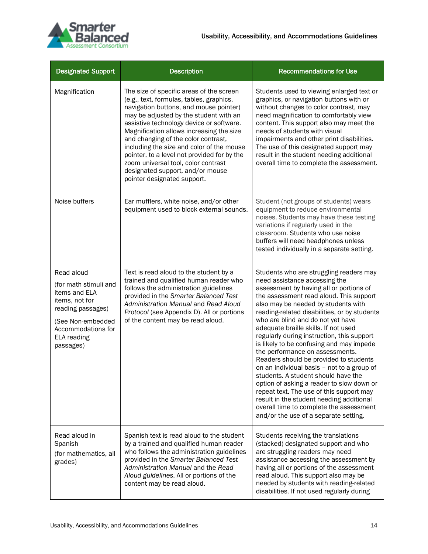

| <b>Designated Support</b>                                                                                                                                                 | <b>Description</b>                                                                                                                                                                                                                                                                                                                                                                                                                                                                                            | <b>Recommendations for Use</b>                                                                                                                                                                                                                                                                                                                                                                                                                                                                                                                                                                                                                                                                                                                                                                                          |
|---------------------------------------------------------------------------------------------------------------------------------------------------------------------------|---------------------------------------------------------------------------------------------------------------------------------------------------------------------------------------------------------------------------------------------------------------------------------------------------------------------------------------------------------------------------------------------------------------------------------------------------------------------------------------------------------------|-------------------------------------------------------------------------------------------------------------------------------------------------------------------------------------------------------------------------------------------------------------------------------------------------------------------------------------------------------------------------------------------------------------------------------------------------------------------------------------------------------------------------------------------------------------------------------------------------------------------------------------------------------------------------------------------------------------------------------------------------------------------------------------------------------------------------|
| Magnification                                                                                                                                                             | The size of specific areas of the screen<br>(e.g., text, formulas, tables, graphics,<br>navigation buttons, and mouse pointer)<br>may be adjusted by the student with an<br>assistive technology device or software.<br>Magnification allows increasing the size<br>and changing of the color contrast,<br>including the size and color of the mouse<br>pointer, to a level not provided for by the<br>zoom universal tool, color contrast<br>designated support, and/or mouse<br>pointer designated support. | Students used to viewing enlarged text or<br>graphics, or navigation buttons with or<br>without changes to color contrast, may<br>need magnification to comfortably view<br>content. This support also may meet the<br>needs of students with visual<br>impairments and other print disabilities.<br>The use of this designated support may<br>result in the student needing additional<br>overall time to complete the assessment.                                                                                                                                                                                                                                                                                                                                                                                     |
| Noise buffers                                                                                                                                                             | Ear mufflers, white noise, and/or other<br>equipment used to block external sounds.                                                                                                                                                                                                                                                                                                                                                                                                                           | Student (not groups of students) wears<br>equipment to reduce environmental<br>noises. Students may have these testing<br>variations if regularly used in the<br>classroom. Students who use noise<br>buffers will need headphones unless<br>tested individually in a separate setting.                                                                                                                                                                                                                                                                                                                                                                                                                                                                                                                                 |
| Read aloud<br>(for math stimuli and<br>items and ELA<br>items, not for<br>reading passages)<br>(See Non-embedded<br>Accommodations for<br><b>ELA</b> reading<br>passages) | Text is read aloud to the student by a<br>trained and qualified human reader who<br>follows the administration guidelines<br>provided in the Smarter Balanced Test<br>Administration Manual and Read Aloud<br>Protocol (see Appendix D). All or portions<br>of the content may be read aloud.                                                                                                                                                                                                                 | Students who are struggling readers may<br>need assistance accessing the<br>assessment by having all or portions of<br>the assessment read aloud. This support<br>also may be needed by students with<br>reading-related disabilities, or by students<br>who are blind and do not yet have<br>adequate braille skills. If not used<br>regularly during instruction, this support<br>is likely to be confusing and may impede<br>the performance on assessments.<br>Readers should be provided to students<br>on an individual basis - not to a group of<br>students. A student should have the<br>option of asking a reader to slow down or<br>repeat text. The use of this support may<br>result in the student needing additional<br>overall time to complete the assessment<br>and/or the use of a separate setting. |
| Read aloud in<br>Spanish<br>(for mathematics, all<br>grades)                                                                                                              | Spanish text is read aloud to the student<br>by a trained and qualified human reader<br>who follows the administration guidelines<br>provided in the Smarter Balanced Test<br>Administration Manual and the Read<br>Aloud guidelines. All or portions of the<br>content may be read aloud.                                                                                                                                                                                                                    | Students receiving the translations<br>(stacked) designated support and who<br>are struggling readers may need<br>assistance accessing the assessment by<br>having all or portions of the assessment<br>read aloud. This support also may be<br>needed by students with reading-related<br>disabilities. If not used regularly during                                                                                                                                                                                                                                                                                                                                                                                                                                                                                   |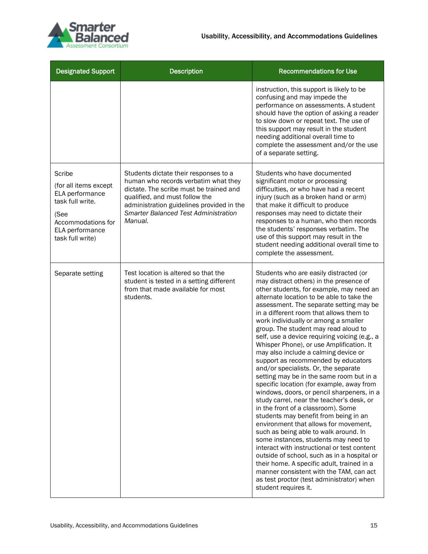

| <b>Designated Support</b>                                                                                                                   | <b>Description</b>                                                                                                                                                                                                                                                | <b>Recommendations for Use</b>                                                                                                                                                                                                                                                                                                                                                                                                                                                                                                                                                                                                                                                                                                                                                                                                                                                                                                                                                                                                                                                                                                                                                                                                |
|---------------------------------------------------------------------------------------------------------------------------------------------|-------------------------------------------------------------------------------------------------------------------------------------------------------------------------------------------------------------------------------------------------------------------|-------------------------------------------------------------------------------------------------------------------------------------------------------------------------------------------------------------------------------------------------------------------------------------------------------------------------------------------------------------------------------------------------------------------------------------------------------------------------------------------------------------------------------------------------------------------------------------------------------------------------------------------------------------------------------------------------------------------------------------------------------------------------------------------------------------------------------------------------------------------------------------------------------------------------------------------------------------------------------------------------------------------------------------------------------------------------------------------------------------------------------------------------------------------------------------------------------------------------------|
|                                                                                                                                             |                                                                                                                                                                                                                                                                   | instruction, this support is likely to be<br>confusing and may impede the<br>performance on assessments. A student<br>should have the option of asking a reader<br>to slow down or repeat text. The use of<br>this support may result in the student<br>needing additional overall time to<br>complete the assessment and/or the use<br>of a separate setting.                                                                                                                                                                                                                                                                                                                                                                                                                                                                                                                                                                                                                                                                                                                                                                                                                                                                |
| Scribe<br>(for all items except<br>ELA performance<br>task full write.<br>(See<br>Accommodations for<br>ELA performance<br>task full write) | Students dictate their responses to a<br>human who records verbatim what they<br>dictate. The scribe must be trained and<br>qualified, and must follow the<br>administration guidelines provided in the<br><b>Smarter Balanced Test Administration</b><br>Manual. | Students who have documented<br>significant motor or processing<br>difficulties, or who have had a recent<br>injury (such as a broken hand or arm)<br>that make it difficult to produce<br>responses may need to dictate their<br>responses to a human, who then records<br>the students' responses verbatim. The<br>use of this support may result in the<br>student needing additional overall time to<br>complete the assessment.                                                                                                                                                                                                                                                                                                                                                                                                                                                                                                                                                                                                                                                                                                                                                                                          |
| Separate setting                                                                                                                            | Test location is altered so that the<br>student is tested in a setting different<br>from that made available for most<br>students.                                                                                                                                | Students who are easily distracted (or<br>may distract others) in the presence of<br>other students, for example, may need an<br>alternate location to be able to take the<br>assessment. The separate setting may be<br>in a different room that allows them to<br>work individually or among a smaller<br>group. The student may read aloud to<br>self, use a device requiring voicing (e.g., a<br>Whisper Phone), or use Amplification. It<br>may also include a calming device or<br>support as recommended by educators<br>and/or specialists. Or, the separate<br>setting may be in the same room but in a<br>specific location (for example, away from<br>windows, doors, or pencil sharpeners, in a<br>study carrel, near the teacher's desk, or<br>in the front of a classroom). Some<br>students may benefit from being in an<br>environment that allows for movement,<br>such as being able to walk around. In<br>some instances, students may need to<br>interact with instructional or test content<br>outside of school, such as in a hospital or<br>their home. A specific adult, trained in a<br>manner consistent with the TAM, can act<br>as test proctor (test administrator) when<br>student requires it. |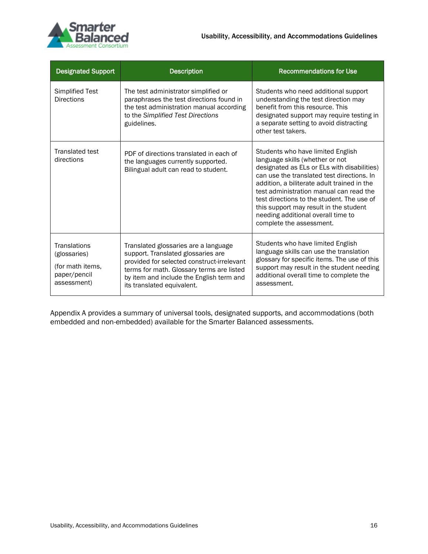

| <b>Designated Support</b>                                                       | <b>Description</b>                                                                                                                                                                                                                              | <b>Recommendations for Use</b>                                                                                                                                                                                                                                                                                                                                                                                        |
|---------------------------------------------------------------------------------|-------------------------------------------------------------------------------------------------------------------------------------------------------------------------------------------------------------------------------------------------|-----------------------------------------------------------------------------------------------------------------------------------------------------------------------------------------------------------------------------------------------------------------------------------------------------------------------------------------------------------------------------------------------------------------------|
| Simplified Test<br><b>Directions</b>                                            | The test administrator simplified or<br>paraphrases the test directions found in<br>the test administration manual according<br>to the Simplified Test Directions<br>guidelines.                                                                | Students who need additional support<br>understanding the test direction may<br>benefit from this resource. This<br>designated support may require testing in<br>a separate setting to avoid distracting<br>other test takers.                                                                                                                                                                                        |
| <b>Translated test</b><br>directions                                            | PDF of directions translated in each of<br>the languages currently supported.<br>Bilingual adult can read to student.                                                                                                                           | Students who have limited English<br>language skills (whether or not<br>designated as ELs or ELs with disabilities)<br>can use the translated test directions. In<br>addition, a biliterate adult trained in the<br>test administration manual can read the<br>test directions to the student. The use of<br>this support may result in the student<br>needing additional overall time to<br>complete the assessment. |
| Translations<br>(glossaries)<br>(for math items,<br>paper/pencil<br>assessment) | Translated glossaries are a language<br>support. Translated glossaries are<br>provided for selected construct-irrelevant<br>terms for math. Glossary terms are listed<br>by item and include the English term and<br>its translated equivalent. | Students who have limited English<br>language skills can use the translation<br>glossary for specific items. The use of this<br>support may result in the student needing<br>additional overall time to complete the<br>assessment.                                                                                                                                                                                   |

Appendix A provides a summary of universal tools, designated supports, and accommodations (both embedded and non-embedded) available for the Smarter Balanced assessments.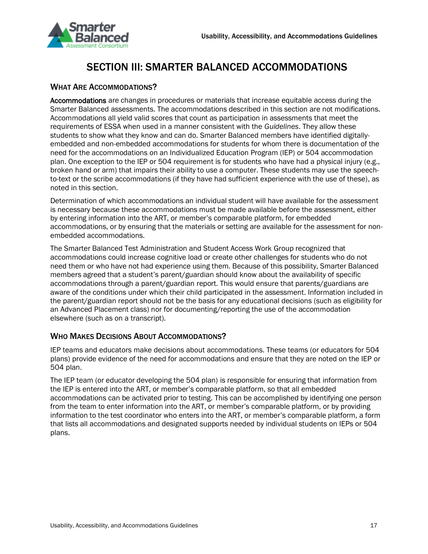

# SECTION III: SMARTER BALANCED ACCOMMODATIONS

### <span id="page-18-1"></span><span id="page-18-0"></span>WHAT ARE ACCOMMODATIONS?

Accommodations are changes in procedures or materials that increase equitable access during the Smarter Balanced assessments. The accommodations described in this section are not modifications. Accommodations all yield valid scores that count as participation in assessments that meet the requirements of ESSA when used in a manner consistent with the *Guidelines*. They allow these students to show what they know and can do. Smarter Balanced members have identified digitallyembedded and non-embedded accommodations for students for whom there is documentation of the need for the accommodations on an Individualized Education Program (IEP) or 504 accommodation plan. One exception to the IEP or 504 requirement is for students who have had a physical injury (e.g., broken hand or arm) that impairs their ability to use a computer. These students may use the speechto-text or the scribe accommodations (if they have had sufficient experience with the use of these), as noted in this section.

Determination of which accommodations an individual student will have available for the assessment is necessary because these accommodations must be made available before the assessment, either by entering information into the ART, or member's comparable platform, for embedded accommodations, or by ensuring that the materials or setting are available for the assessment for nonembedded accommodations.

The Smarter Balanced Test Administration and Student Access Work Group recognized that accommodations could increase cognitive load or create other challenges for students who do not need them or who have not had experience using them. Because of this possibility, Smarter Balanced members agreed that a student's parent/guardian should know about the availability of specific accommodations through a parent/guardian report. This would ensure that parents/guardians are aware of the conditions under which their child participated in the assessment. Information included in the parent/guardian report should not be the basis for any educational decisions (such as eligibility for an Advanced Placement class) nor for documenting/reporting the use of the accommodation elsewhere (such as on a transcript).

### <span id="page-18-2"></span>WHO MAKES DECISIONS ABOUT ACCOMMODATIONS?

IEP teams and educators make decisions about accommodations. These teams (or educators for 504 plans) provide evidence of the need for accommodations and ensure that they are noted on the IEP or 504 plan.

The IEP team (or educator developing the 504 plan) is responsible for ensuring that information from the IEP is entered into the ART, or member's comparable platform, so that all embedded accommodations can be activated prior to testing. This can be accomplished by identifying one person from the team to enter information into the ART, or member's comparable platform, or by providing information to the test coordinator who enters into the ART, or member's comparable platform, a form that lists all accommodations and designated supports needed by individual students on IEPs or 504 plans.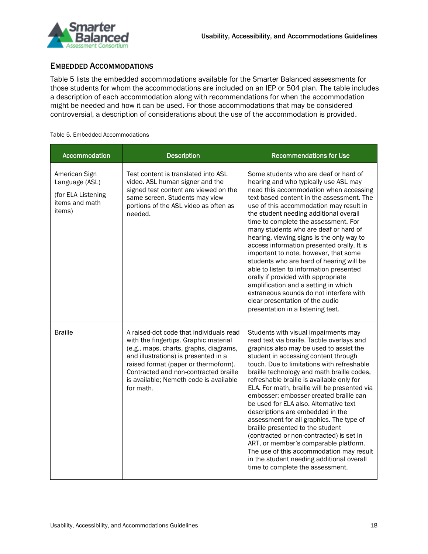

### <span id="page-19-0"></span>EMBEDDED ACCOMMODATIONS

Table 5 lists the embedded accommodations available for the Smarter Balanced assessments for those students for whom the accommodations are included on an IEP or 504 plan. The table includes a description of each accommodation along with recommendations for when the accommodation might be needed and how it can be used. For those accommodations that may be considered controversial, a description of considerations about the use of the accommodation is provided.

#### Table 5. Embedded Accommodations

| Accommodation                                                                     | <b>Description</b>                                                                                                                                                                                                                                                                                         | <b>Recommendations for Use</b>                                                                                                                                                                                                                                                                                                                                                                                                                                                                                                                                                                                                                                                                                                                                                            |
|-----------------------------------------------------------------------------------|------------------------------------------------------------------------------------------------------------------------------------------------------------------------------------------------------------------------------------------------------------------------------------------------------------|-------------------------------------------------------------------------------------------------------------------------------------------------------------------------------------------------------------------------------------------------------------------------------------------------------------------------------------------------------------------------------------------------------------------------------------------------------------------------------------------------------------------------------------------------------------------------------------------------------------------------------------------------------------------------------------------------------------------------------------------------------------------------------------------|
| American Sign<br>Language (ASL)<br>(for ELA Listening<br>items and math<br>items) | Test content is translated into ASL<br>video. ASL human signer and the<br>signed test content are viewed on the<br>same screen. Students may view<br>portions of the ASL video as often as<br>needed.                                                                                                      | Some students who are deaf or hard of<br>hearing and who typically use ASL may<br>need this accommodation when accessing<br>text-based content in the assessment. The<br>use of this accommodation may result in<br>the student needing additional overall<br>time to complete the assessment. For<br>many students who are deaf or hard of<br>hearing, viewing signs is the only way to<br>access information presented orally. It is<br>important to note, however, that some<br>students who are hard of hearing will be<br>able to listen to information presented<br>orally if provided with appropriate<br>amplification and a setting in which<br>extraneous sounds do not interfere with<br>clear presentation of the audio<br>presentation in a listening test.                  |
| <b>Braille</b>                                                                    | A raised-dot code that individuals read<br>with the fingertips. Graphic material<br>(e.g., maps, charts, graphs, diagrams,<br>and illustrations) is presented in a<br>raised format (paper or thermoform).<br>Contracted and non-contracted braille<br>is available; Nemeth code is available<br>for math. | Students with visual impairments may<br>read text via braille. Tactile overlays and<br>graphics also may be used to assist the<br>student in accessing content through<br>touch. Due to limitations with refreshable<br>braille technology and math braille codes,<br>refreshable braille is available only for<br>ELA. For math, braille will be presented via<br>embosser; embosser-created braille can<br>be used for ELA also. Alternative text<br>descriptions are embedded in the<br>assessment for all graphics. The type of<br>braille presented to the student<br>(contracted or non-contracted) is set in<br>ART, or member's comparable platform.<br>The use of this accommodation may result<br>in the student needing additional overall<br>time to complete the assessment. |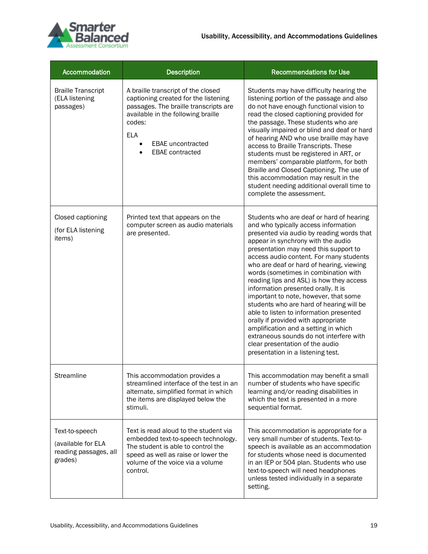

| Accommodation                                                            | <b>Description</b>                                                                                                                                                                                                                      | <b>Recommendations for Use</b>                                                                                                                                                                                                                                                                                                                                                                                                                                                                                                                                                                                                                                                                                                                                   |  |
|--------------------------------------------------------------------------|-----------------------------------------------------------------------------------------------------------------------------------------------------------------------------------------------------------------------------------------|------------------------------------------------------------------------------------------------------------------------------------------------------------------------------------------------------------------------------------------------------------------------------------------------------------------------------------------------------------------------------------------------------------------------------------------------------------------------------------------------------------------------------------------------------------------------------------------------------------------------------------------------------------------------------------------------------------------------------------------------------------------|--|
| <b>Braille Transcript</b><br>(ELA listening<br>passages)                 | A braille transcript of the closed<br>captioning created for the listening<br>passages. The braille transcripts are<br>available in the following braille<br>codes:<br><b>ELA</b><br><b>EBAE</b> uncontracted<br><b>EBAE</b> contracted | Students may have difficulty hearing the<br>listening portion of the passage and also<br>do not have enough functional vision to<br>read the closed captioning provided for<br>the passage. These students who are<br>visually impaired or blind and deaf or hard<br>of hearing AND who use braille may have<br>access to Braille Transcripts. These<br>students must be registered in ART, or<br>members' comparable platform, for both<br>Braille and Closed Captioning. The use of<br>this accommodation may result in the<br>student needing additional overall time to<br>complete the assessment.                                                                                                                                                          |  |
| Closed captioning<br>(for ELA listening<br>items)                        | Printed text that appears on the<br>computer screen as audio materials<br>are presented.                                                                                                                                                | Students who are deaf or hard of hearing<br>and who typically access information<br>presented via audio by reading words that<br>appear in synchrony with the audio<br>presentation may need this support to<br>access audio content. For many students<br>who are deaf or hard of hearing, viewing<br>words (sometimes in combination with<br>reading lips and ASL) is how they access<br>information presented orally. It is<br>important to note, however, that some<br>students who are hard of hearing will be<br>able to listen to information presented<br>orally if provided with appropriate<br>amplification and a setting in which<br>extraneous sounds do not interfere with<br>clear presentation of the audio<br>presentation in a listening test. |  |
| Streamline                                                               | This accommodation provides a<br>streamlined interface of the test in an<br>alternate, simplified format in which<br>the items are displayed below the<br>stimuli.                                                                      | This accommodation may benefit a small<br>number of students who have specific<br>learning and/or reading disabilities in<br>which the text is presented in a more<br>sequential format.                                                                                                                                                                                                                                                                                                                                                                                                                                                                                                                                                                         |  |
| Text-to-speech<br>(available for ELA<br>reading passages, all<br>grades) | Text is read aloud to the student via<br>embedded text-to-speech technology.<br>The student is able to control the<br>speed as well as raise or lower the<br>volume of the voice via a volume<br>control.                               | This accommodation is appropriate for a<br>very small number of students. Text-to-<br>speech is available as an accommodation<br>for students whose need is documented<br>in an IEP or 504 plan. Students who use<br>text-to-speech will need headphones<br>unless tested individually in a separate<br>setting.                                                                                                                                                                                                                                                                                                                                                                                                                                                 |  |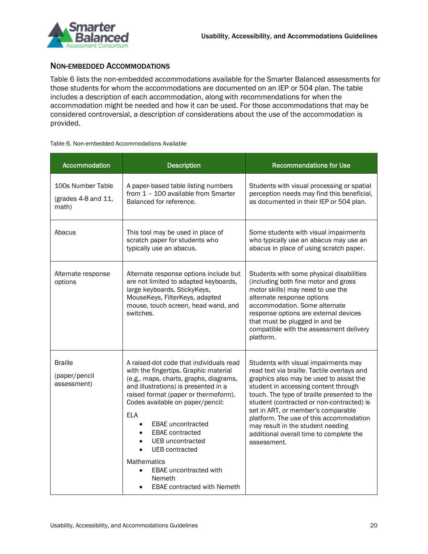

### <span id="page-21-0"></span>NON-EMBEDDED ACCOMMODATIONS

Table 6 lists the non-embedded accommodations available for the Smarter Balanced assessments for those students for whom the accommodations are documented on an IEP or 504 plan. The table includes a description of each accommodation, along with recommendations for when the accommodation might be needed and how it can be used. For those accommodations that may be considered controversial, a description of considerations about the use of the accommodation is provided.

#### Table 6. Non-embedded Accommodations Available

| Accommodation                                     | <b>Description</b>                                                                                                                                                                                                                                                                                                                                                                                                                                                                               | <b>Recommendations for Use</b>                                                                                                                                                                                                                                                                                                                                                                                                                     |  |
|---------------------------------------------------|--------------------------------------------------------------------------------------------------------------------------------------------------------------------------------------------------------------------------------------------------------------------------------------------------------------------------------------------------------------------------------------------------------------------------------------------------------------------------------------------------|----------------------------------------------------------------------------------------------------------------------------------------------------------------------------------------------------------------------------------------------------------------------------------------------------------------------------------------------------------------------------------------------------------------------------------------------------|--|
| 100s Number Table<br>(grades 4-8 and 11,<br>math) | A paper-based table listing numbers<br>from 1 - 100 available from Smarter<br>Balanced for reference.                                                                                                                                                                                                                                                                                                                                                                                            | Students with visual processing or spatial<br>perception needs may find this beneficial,<br>as documented in their IEP or 504 plan.                                                                                                                                                                                                                                                                                                                |  |
| Abacus                                            | This tool may be used in place of<br>scratch paper for students who<br>typically use an abacus.                                                                                                                                                                                                                                                                                                                                                                                                  | Some students with visual impairments<br>who typically use an abacus may use an<br>abacus in place of using scratch paper.                                                                                                                                                                                                                                                                                                                         |  |
| Alternate response<br>options                     | Alternate response options include but<br>are not limited to adapted keyboards,<br>large keyboards, StickyKeys,<br>MouseKeys, FilterKeys, adapted<br>mouse, touch screen, head wand, and<br>switches.                                                                                                                                                                                                                                                                                            | Students with some physical disabilities<br>(including both fine motor and gross<br>motor skills) may need to use the<br>alternate response options<br>accommodation. Some alternate<br>response options are external devices<br>that must be plugged in and be<br>compatible with the assessment delivery<br>platform.                                                                                                                            |  |
| <b>Braille</b><br>(paper/pencil<br>assessment)    | A raised-dot code that individuals read<br>with the fingertips. Graphic material<br>(e.g., maps, charts, graphs, diagrams,<br>and illustrations) is presented in a<br>raised format (paper or thermoform).<br>Codes available on paper/pencil:<br><b>ELA</b><br><b>EBAE</b> uncontracted<br>$\bullet$<br><b>EBAE</b> contracted<br>UEB uncontracted<br><b>UEB</b> contracted<br><b>Mathematics</b><br><b>EBAE</b> uncontracted with<br>$\bullet$<br>Nemeth<br><b>EBAE</b> contracted with Nemeth | Students with visual impairments may<br>read text via braille. Tactile overlays and<br>graphics also may be used to assist the<br>student in accessing content through<br>touch. The type of braille presented to the<br>student (contracted or non-contracted) is<br>set in ART, or member's comparable<br>platform. The use of this accommodation<br>may result in the student needing<br>additional overall time to complete the<br>assessment. |  |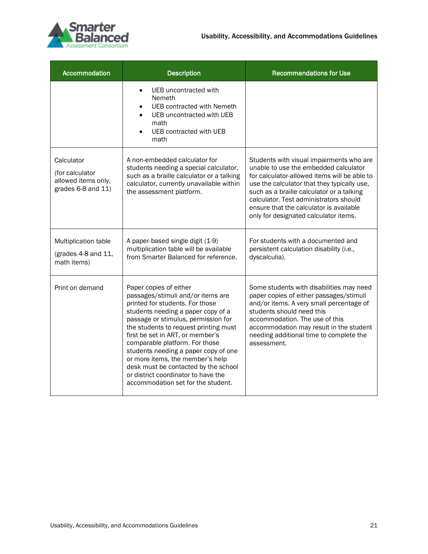

| <b>Accommodation</b>                                                       | <b>Description</b>                                                                                                                                                                                                                                                                                                                                                                                                                                                                          | <b>Recommendations for Use</b>                                                                                                                                                                                                                                                                                                                              |
|----------------------------------------------------------------------------|---------------------------------------------------------------------------------------------------------------------------------------------------------------------------------------------------------------------------------------------------------------------------------------------------------------------------------------------------------------------------------------------------------------------------------------------------------------------------------------------|-------------------------------------------------------------------------------------------------------------------------------------------------------------------------------------------------------------------------------------------------------------------------------------------------------------------------------------------------------------|
|                                                                            | UEB uncontracted with<br>Nemeth<br><b>UEB contracted with Nemeth</b><br>UEB uncontracted with UEB<br>math<br>UEB contracted with UEB<br>math                                                                                                                                                                                                                                                                                                                                                |                                                                                                                                                                                                                                                                                                                                                             |
| Calculator<br>(for calculator<br>allowed items only,<br>grades 6-8 and 11) | A non-embedded calculator for<br>students needing a special calculator,<br>such as a braille calculator or a talking<br>calculator, currently unavailable within<br>the assessment platform.                                                                                                                                                                                                                                                                                                | Students with visual impairments who are<br>unable to use the embedded calculator<br>for calculator-allowed items will be able to<br>use the calculator that they typically use,<br>such as a braille calculator or a talking<br>calculator. Test administrators should<br>ensure that the calculator is available<br>only for designated calculator items. |
| Multiplication table<br>(grades 4-8 and 11,<br>math items)                 | A paper-based single digit (1-9)<br>multiplication table will be available<br>from Smarter Balanced for reference.                                                                                                                                                                                                                                                                                                                                                                          | For students with a documented and<br>persistent calculation disability (i.e.,<br>dyscalculia).                                                                                                                                                                                                                                                             |
| Print on demand                                                            | Paper copies of either<br>passages/stimuli and/or items are<br>printed for students. For those<br>students needing a paper copy of a<br>passage or stimulus, permission for<br>the students to request printing must<br>first be set in ART, or member's<br>comparable platform. For those<br>students needing a paper copy of one<br>or more items, the member's help<br>desk must be contacted by the school<br>or district coordinator to have the<br>accommodation set for the student. | Some students with disabilities may need<br>paper copies of either passages/stimuli<br>and/or items. A very small percentage of<br>students should need this<br>accommodation. The use of this<br>accommodation may result in the student<br>needing additional time to complete the<br>assessment.                                                         |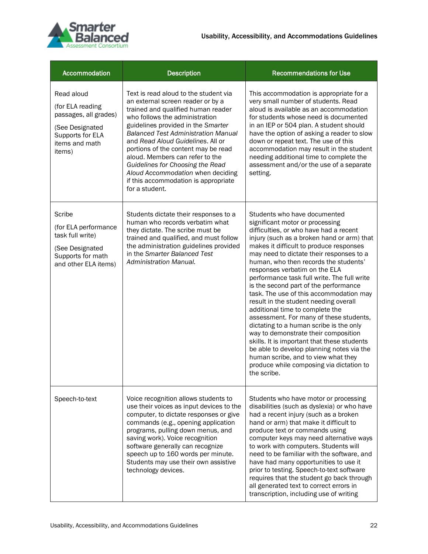

| Accommodation                                                                                                              | <b>Description</b>                                                                                                                                                                                                                                                                                                                                                                                                                                                                       | <b>Recommendations for Use</b>                                                                                                                                                                                                                                                                                                                                                                                                                                                                                                                                                                                                                                                                                                                                                                                                                                      |  |
|----------------------------------------------------------------------------------------------------------------------------|------------------------------------------------------------------------------------------------------------------------------------------------------------------------------------------------------------------------------------------------------------------------------------------------------------------------------------------------------------------------------------------------------------------------------------------------------------------------------------------|---------------------------------------------------------------------------------------------------------------------------------------------------------------------------------------------------------------------------------------------------------------------------------------------------------------------------------------------------------------------------------------------------------------------------------------------------------------------------------------------------------------------------------------------------------------------------------------------------------------------------------------------------------------------------------------------------------------------------------------------------------------------------------------------------------------------------------------------------------------------|--|
| Read aloud<br>(for ELA reading<br>passages, all grades)<br>(See Designated<br>Supports for ELA<br>items and math<br>items) | Text is read aloud to the student via<br>an external screen reader or by a<br>trained and qualified human reader<br>who follows the administration<br>guidelines provided in the Smarter<br><b>Balanced Test Administration Manual</b><br>and Read Aloud Guidelines. All or<br>portions of the content may be read<br>aloud. Members can refer to the<br>Guidelines for Choosing the Read<br>Aloud Accommodation when deciding<br>if this accommodation is appropriate<br>for a student. | This accommodation is appropriate for a<br>very small number of students. Read<br>aloud is available as an accommodation<br>for students whose need is documented<br>in an IEP or 504 plan. A student should<br>have the option of asking a reader to slow<br>down or repeat text. The use of this<br>accommodation may result in the student<br>needing additional time to complete the<br>assessment and/or the use of a separate<br>setting.                                                                                                                                                                                                                                                                                                                                                                                                                     |  |
| Scribe<br>(for ELA performance<br>task full write)<br>(See Designated<br>Supports for math<br>and other ELA items)         | Students dictate their responses to a<br>human who records verbatim what<br>they dictate. The scribe must be<br>trained and qualified, and must follow<br>the administration guidelines provided<br>in the Smarter Balanced Test<br>Administration Manual.                                                                                                                                                                                                                               | Students who have documented<br>significant motor or processing<br>difficulties, or who have had a recent<br>injury (such as a broken hand or arm) that<br>makes it difficult to produce responses<br>may need to dictate their responses to a<br>human, who then records the students'<br>responses verbatim on the ELA<br>performance task full write. The full write<br>is the second part of the performance<br>task. The use of this accommodation may<br>result in the student needing overall<br>additional time to complete the<br>assessment. For many of these students,<br>dictating to a human scribe is the only<br>way to demonstrate their composition<br>skills. It is important that these students<br>be able to develop planning notes via the<br>human scribe, and to view what they<br>produce while composing via dictation to<br>the scribe. |  |
| Speech-to-text                                                                                                             | Voice recognition allows students to<br>use their voices as input devices to the<br>computer, to dictate responses or give<br>commands (e.g., opening application<br>programs, pulling down menus, and<br>saving work). Voice recognition<br>software generally can recognize<br>speech up to 160 words per minute.<br>Students may use their own assistive<br>technology devices.                                                                                                       | Students who have motor or processing<br>disabilities (such as dyslexia) or who have<br>had a recent injury (such as a broken<br>hand or arm) that make it difficult to<br>produce text or commands using<br>computer keys may need alternative ways<br>to work with computers. Students will<br>need to be familiar with the software, and<br>have had many opportunities to use it<br>prior to testing. Speech-to-text software<br>requires that the student go back through<br>all generated text to correct errors in<br>transcription, including use of writing                                                                                                                                                                                                                                                                                                |  |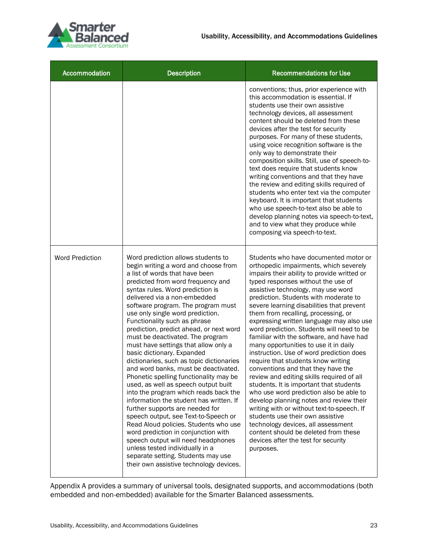



| Accommodation          | <b>Description</b>                                                                                                                                                                                                                                                                                                                                                                                                                                                                                                                                                                                                                                                                                                                                                                                                                                                                                                                                                                                                                                                  | <b>Recommendations for Use</b>                                                                                                                                                                                                                                                                                                                                                                                                                                                                                                                                                                                                                                                                                                                                                                                                                                                                                                                                                                                                                  |  |
|------------------------|---------------------------------------------------------------------------------------------------------------------------------------------------------------------------------------------------------------------------------------------------------------------------------------------------------------------------------------------------------------------------------------------------------------------------------------------------------------------------------------------------------------------------------------------------------------------------------------------------------------------------------------------------------------------------------------------------------------------------------------------------------------------------------------------------------------------------------------------------------------------------------------------------------------------------------------------------------------------------------------------------------------------------------------------------------------------|-------------------------------------------------------------------------------------------------------------------------------------------------------------------------------------------------------------------------------------------------------------------------------------------------------------------------------------------------------------------------------------------------------------------------------------------------------------------------------------------------------------------------------------------------------------------------------------------------------------------------------------------------------------------------------------------------------------------------------------------------------------------------------------------------------------------------------------------------------------------------------------------------------------------------------------------------------------------------------------------------------------------------------------------------|--|
|                        |                                                                                                                                                                                                                                                                                                                                                                                                                                                                                                                                                                                                                                                                                                                                                                                                                                                                                                                                                                                                                                                                     | conventions; thus, prior experience with<br>this accommodation is essential. If<br>students use their own assistive<br>technology devices, all assessment<br>content should be deleted from these<br>devices after the test for security<br>purposes. For many of these students,<br>using voice recognition software is the<br>only way to demonstrate their<br>composition skills. Still, use of speech-to-<br>text does require that students know<br>writing conventions and that they have<br>the review and editing skills required of<br>students who enter text via the computer<br>keyboard. It is important that students<br>who use speech-to-text also be able to<br>develop planning notes via speech-to-text,<br>and to view what they produce while<br>composing via speech-to-text.                                                                                                                                                                                                                                             |  |
| <b>Word Prediction</b> | Word prediction allows students to<br>begin writing a word and choose from<br>a list of words that have been<br>predicted from word frequency and<br>syntax rules. Word prediction is<br>delivered via a non-embedded<br>software program. The program must<br>use only single word prediction.<br>Functionality such as phrase<br>prediction, predict ahead, or next word<br>must be deactivated. The program<br>must have settings that allow only a<br>basic dictionary. Expanded<br>dictionaries, such as topic dictionaries<br>and word banks, must be deactivated.<br>Phonetic spelling functionality may be<br>used, as well as speech output built<br>into the program which reads back the<br>information the student has written. If<br>further supports are needed for<br>speech output, see Text-to-Speech or<br>Read Aloud policies. Students who use<br>word prediction in conjunction with<br>speech output will need headphones<br>unless tested individually in a<br>separate setting. Students may use<br>their own assistive technology devices. | Students who have documented motor or<br>orthopedic impairments, which severely<br>impairs their ability to provide writted or<br>typed responses without the use of<br>assistive technology, may use word<br>prediction. Students with moderate to<br>severe learning disabilities that prevent<br>them from recalling, processing, or<br>expressing written language may also use<br>word prediction. Students will need to be<br>familiar with the software, and have had<br>many opportunities to use it in daily<br>instruction. Use of word prediction does<br>require that students know writing<br>conventions and that they have the<br>review and editing skills required of all<br>students. It is important that students<br>who use word prediction also be able to<br>develop planning notes and review their<br>writing with or without text-to-speech. If<br>students use their own assistive<br>technology devices, all assessment<br>content should be deleted from these<br>devices after the test for security<br>purposes. |  |

Appendix A provides a summary of universal tools, designated supports, and accommodations (both embedded and non-embedded) available for the Smarter Balanced assessments.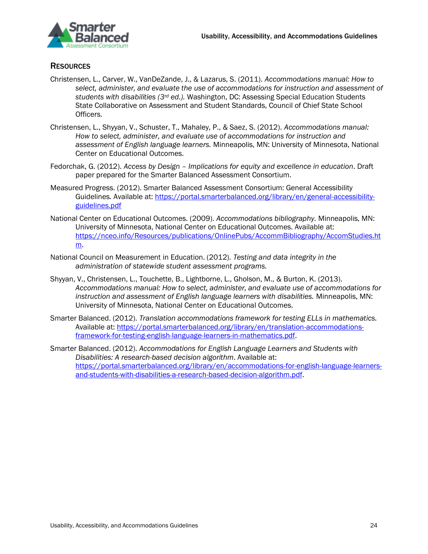

### <span id="page-25-0"></span>**RESOURCES**

- Christensen, L., Carver, W., VanDeZande, J., & Lazarus, S. (2011). *Accommodations manual: How to select, administer, and evaluate the use of accommodations for instruction and assessment of students with disabilities (3rd ed.).* Washington, DC: Assessing Special Education Students State Collaborative on Assessment and Student Standards, Council of Chief State School Officers.
- Christensen, L., Shyyan, V., Schuster, T., Mahaley, P., & Saez, S. (2012). *Accommodations manual: How to select, administer, and evaluate use of accommodations for instruction and assessment of English language learners.* Minneapolis, MN: University of Minnesota, National Center on Educational Outcomes.
- Fedorchak, G. (2012). *Access by Design – Implications for equity and excellence in education*. Draft paper prepared for the Smarter Balanced Assessment Consortium.
- Measured Progress. (2012). Smarter Balanced Assessment Consortium: General Accessibility Guidelines*.* Available at[: https://portal.smarterbalanced.org/library/en/general-accessibility](https://portal.smarterbalanced.org/library/en/general-accessibility-guidelines.pdf)[guidelines.pdf](https://portal.smarterbalanced.org/library/en/general-accessibility-guidelines.pdf)
- National Center on Educational Outcomes. (2009). *Accommodations bibliography.* Minneapolis, MN: University of Minnesota, National Center on Educational Outcomes. Available at: [https://nceo.info/Resources/publications/OnlinePubs/AccommBibliography/AccomStudies.ht](https://nceo.info/Resources/publications/OnlinePubs/AccommBibliography/AccomStudies.htm) [m.](https://nceo.info/Resources/publications/OnlinePubs/AccommBibliography/AccomStudies.htm)
- National Council on Measurement in Education. (2012). *Testing and data integrity in the administration of statewide student assessment programs.*
- Shyyan, V., Christensen, L., Touchette, B., Lightborne, L., Gholson, M., & Burton, K. (2013). *Accommodations manual: How to select, administer, and evaluate use of accommodations for instruction and assessment of English language learners with disabilities.* Minneapolis, MN: University of Minnesota, National Center on Educational Outcomes.
- Smarter Balanced. (2012). *Translation accommodations framework for testing ELLs in mathematics.*  Available at: [https://portal.smarterbalanced.org/library/en/translation-accommodations](https://portal.smarterbalanced.org/library/en/translation-accommodations-framework-for-testing-english-language-learners-in-mathematics.pdf)[framework-for-testing-english-language-learners-in-mathematics.pdf.](https://portal.smarterbalanced.org/library/en/translation-accommodations-framework-for-testing-english-language-learners-in-mathematics.pdf)
- Smarter Balanced. (2012). *[Accommodations for English Language Learners and Students with](http://www.smarterbalanced.org/wordpress/wp-content/uploads/2012/08/Accomodations-for-under-represented-students.pdf)  [Disabilities: A research-based decision algorithm](http://www.smarterbalanced.org/wordpress/wp-content/uploads/2012/08/Accomodations-for-under-represented-students.pdf)*. Available at: [https://portal.smarterbalanced.org/library/en/accommodations-for-english-language-learners](https://portal.smarterbalanced.org/library/en/accommodations-for-english-language-learners-and-students-with-disabilities-a-research-based-decision-algorithm.pdf)[and-students-with-disabilities-a-research-based-decision-algorithm.pdf.](https://portal.smarterbalanced.org/library/en/accommodations-for-english-language-learners-and-students-with-disabilities-a-research-based-decision-algorithm.pdf)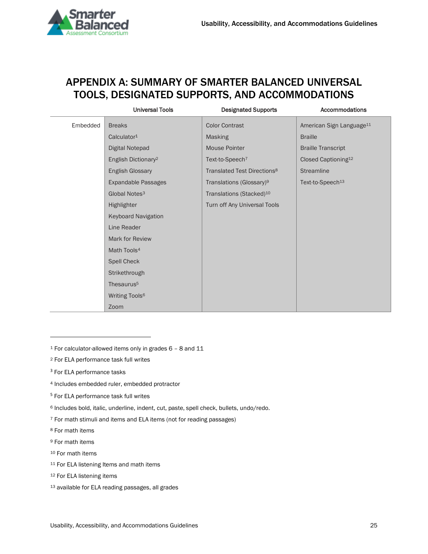# <span id="page-26-0"></span>APPENDIX A: SUMMARY OF SMARTER BALANCED UNIVERSAL TOOLS, DESIGNATED SUPPORTS, AND ACCOMMODATIONS

|          | <b>Universal Tools</b>          | <b>Designated Supports</b>              | <b>Accommodations</b>                |
|----------|---------------------------------|-----------------------------------------|--------------------------------------|
| Embedded | <b>Breaks</b>                   | <b>Color Contrast</b>                   | American Sign Language <sup>11</sup> |
|          | Calculator <sup>1</sup>         | <b>Masking</b>                          | <b>Braille</b>                       |
|          | Digital Notepad                 | Mouse Pointer                           | <b>Braille Transcript</b>            |
|          | English Dictionary <sup>2</sup> | Text-to-Speech <sup>7</sup>             | Closed Captioning <sup>12</sup>      |
|          | <b>English Glossary</b>         | Translated Test Directions <sup>8</sup> | <b>Streamline</b>                    |
|          | <b>Expandable Passages</b>      | Translations (Glossary) <sup>9</sup>    | Text-to-Speech <sup>13</sup>         |
|          | Global Notes <sup>3</sup>       | Translations (Stacked) <sup>10</sup>    |                                      |
|          | Highlighter                     | Turn off Any Universal Tools            |                                      |
|          | <b>Keyboard Navigation</b>      |                                         |                                      |
|          | Line Reader                     |                                         |                                      |
|          | Mark for Review                 |                                         |                                      |
|          | Math Tools <sup>4</sup>         |                                         |                                      |
|          | <b>Spell Check</b>              |                                         |                                      |
|          | Strikethrough                   |                                         |                                      |
|          | Thesaurus <sup>5</sup>          |                                         |                                      |
|          | Writing Tools <sup>6</sup>      |                                         |                                      |
|          | Zoom                            |                                         |                                      |

- <sup>4</sup> Includes embedded ruler, embedded protractor
- <sup>5</sup> For ELA performance task full writes
- <sup>6</sup> Includes bold, italic, underline, indent, cut, paste, spell check, bullets, undo/redo.
- <sup>7</sup> For math stimuli and items and ELA items (not for reading passages)
- <sup>8</sup> For math items

- <sup>9</sup> For math items
- <sup>10</sup> For math items
- 11 For ELA listening Items and math items
- 12 For ELA listening items
- <sup>13</sup> available for ELA reading passages, all grades

<sup>1</sup> For calculator-allowed items only in grades 6 – 8 and 11

<sup>2</sup> For ELA performance task full writes

<sup>&</sup>lt;sup>3</sup> For ELA performance tasks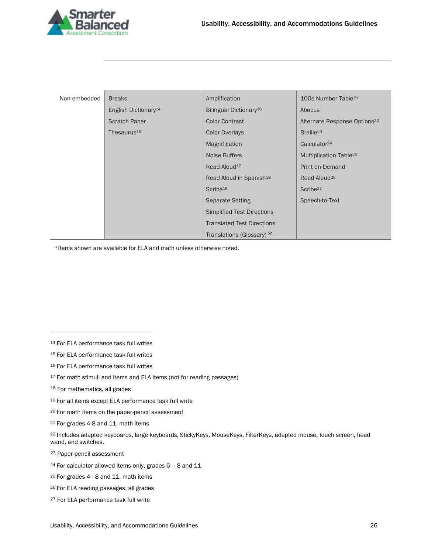

| Non-embedded | <b>Breaks</b>                    | Amplification                       | 100s Number Table <sup>21</sup>          |
|--------------|----------------------------------|-------------------------------------|------------------------------------------|
|              | English Dictionary <sup>14</sup> | Bilingual Dictionary <sup>16</sup>  | Abacus                                   |
|              | <b>Scratch Paper</b>             | <b>Color Contrast</b>               | Alternate Response Options <sup>22</sup> |
|              | Thesaurus <sup>15</sup>          | <b>Color Overlays</b>               | Braille <sup>23</sup>                    |
|              |                                  | Magnification                       | Calculator <sup>24</sup>                 |
|              |                                  | Noise Buffers                       | Multiplication Table <sup>25</sup>       |
|              |                                  | Read Aloud <sup>17</sup>            | <b>Print on Demand</b>                   |
|              |                                  | Read Aloud in Spanish <sup>18</sup> | Read Aloud <sup>26</sup>                 |
|              |                                  | Scribe <sup>19</sup>                | Scribe <sup>27</sup>                     |
|              |                                  | <b>Separate Setting</b>             | Speech-to-Text                           |
|              |                                  | <b>Simplified Test Directions</b>   |                                          |
|              |                                  | <b>Translated Test Directions</b>   |                                          |
|              |                                  | Translations (Glossary) 20          |                                          |

\*Items shown are available for ELA and math unless otherwise noted.

<sup>17</sup> For math stimuli and items and ELA items (not for reading passages)

- <sup>19</sup> For all items except ELA performance task full write
- <sup>20</sup> For math items on the paper-pencil assessment
- <sup>21</sup> For grades 4-8 and 11, math items

<sup>23</sup> Paper-pencil assessment

- <sup>24</sup> For calculator-allowed items only, grades 6 8 and 11
- <sup>25</sup> For grades 4 8 and 11, math items
- <sup>26</sup> For ELA reading passages, all grades
- <sup>27</sup> For ELA performance task full write

<sup>14</sup> For ELA performance task full writes

<sup>15</sup> For ELA performance task full writes

<sup>16</sup> For ELA performance task full writes

<sup>18</sup> For mathematics, all grades

<sup>22</sup> Includes adapted keyboards, large keyboards, StickyKeys, MouseKeys, FilterKeys, adapted mouse, touch screen, head wand, and switches.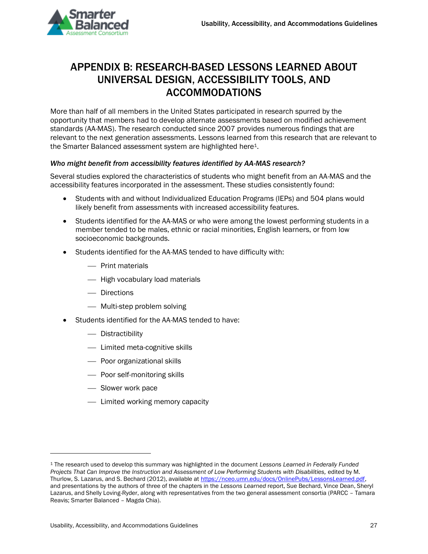

## <span id="page-28-0"></span>APPENDIX B: RESEARCH-BASED LESSONS LEARNED ABOUT UNIVERSAL DESIGN, ACCESSIBILITY TOOLS, AND ACCOMMODATIONS

More than half of all members in the United States participated in research spurred by the opportunity that members had to develop alternate assessments based on modified achievement standards (AA-MAS). The research conducted since 2007 provides numerous findings that are relevant to the next generation assessments. Lessons learned from this research that are relevant to the Smarter Balanced assessment system are highlighted here<sup>1</sup>.

### *Who might benefit from accessibility features identified by AA-MAS research?*

Several studies explored the characteristics of students who might benefit from an AA-MAS and the accessibility features incorporated in the assessment. These studies consistently found:

- Students with and without Individualized Education Programs (IEPs) and 504 plans would likely benefit from assessments with increased accessibility features.
- Students identified for the AA-MAS or who were among the lowest performing students in a member tended to be males, ethnic or racial minorities, English learners, or from low socioeconomic backgrounds.
- Students identified for the AA-MAS tended to have difficulty with:
	- $-$  Print materials
	- $-$  High vocabulary load materials
	- Directions
	- Multi-step problem solving
- Students identified for the AA-MAS tended to have:
	- Distractibility
	- Limited meta-cognitive skills
	- Poor organizational skills
	- Poor self-monitoring skills
	- Slower work pace

— Limited working memory capacity

<sup>1</sup> The research used to develop this summary was highlighted in the document *Lessons Learned in Federally Funded*  Projects That Can Improve the Instruction and Assessment of Low Performing Students with Disabilities, edited by M. Thurlow, S. Lazarus, and S. Bechard (2012), available at [https://nceo.umn.edu/docs/OnlinePubs/LessonsLearned.pdf,](https://nceo.umn.edu/docs/OnlinePubs/LessonsLearned.pdf) and presentations by the authors of three of the chapters in the *Lessons Learned* report, Sue Bechard, Vince Dean, Sheryl Lazarus, and Shelly Loving-Ryder, along with representatives from the two general assessment consortia (PARCC – Tamara Reavis; Smarter Balanced – Magda Chia).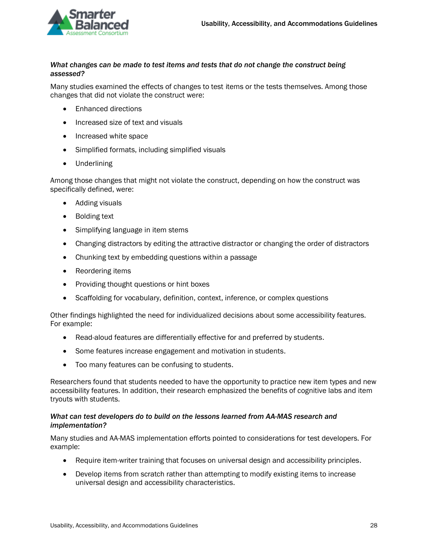

### *What changes can be made to test items and tests that do not change the construct being assessed?*

Many studies examined the effects of changes to test items or the tests themselves. Among those changes that did not violate the construct were:

- Enhanced directions
- Increased size of text and visuals
- Increased white space
- Simplified formats, including simplified visuals
- Underlining

Among those changes that might not violate the construct, depending on how the construct was specifically defined, were:

- Adding visuals
- Bolding text
- Simplifying language in item stems
- Changing distractors by editing the attractive distractor or changing the order of distractors
- Chunking text by embedding questions within a passage
- Reordering items
- Providing thought questions or hint boxes
- Scaffolding for vocabulary, definition, context, inference, or complex questions

Other findings highlighted the need for individualized decisions about some accessibility features. For example:

- Read-aloud features are differentially effective for and preferred by students.
- Some features increase engagement and motivation in students.
- Too many features can be confusing to students.

Researchers found that students needed to have the opportunity to practice new item types and new accessibility features. In addition, their research emphasized the benefits of cognitive labs and item tryouts with students.

#### *What can test developers do to build on the lessons learned from AA-MAS research and implementation?*

Many studies and AA-MAS implementation efforts pointed to considerations for test developers. For example:

- Require item-writer training that focuses on universal design and accessibility principles.
- Develop items from scratch rather than attempting to modify existing items to increase universal design and accessibility characteristics.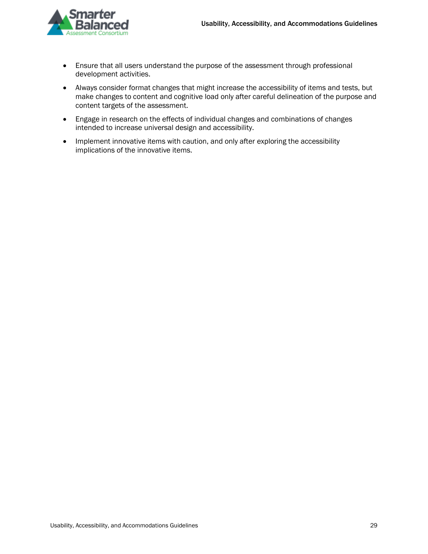

- Ensure that all users understand the purpose of the assessment through professional development activities.
- Always consider format changes that might increase the accessibility of items and tests, but make changes to content and cognitive load only after careful delineation of the purpose and content targets of the assessment.
- Engage in research on the effects of individual changes and combinations of changes intended to increase universal design and accessibility.
- Implement innovative items with caution, and only after exploring the accessibility implications of the innovative items.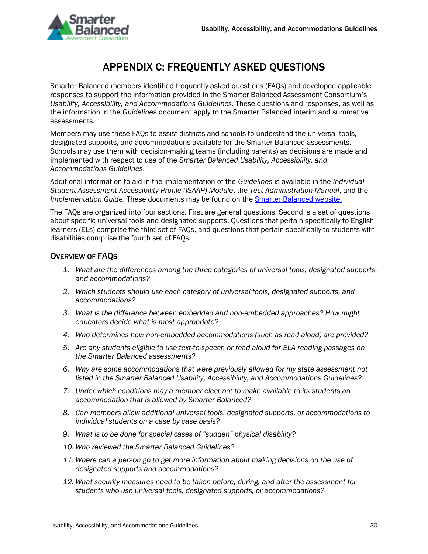

# APPENDIX C: FREQUENTLY ASKED QUESTIONS

<span id="page-31-0"></span>Smarter Balanced members identified frequently asked questions (FAQs) and developed applicable responses to support the information provided in the Smarter Balanced Assessment Consortium's *Usability, Accessibility, and Accommodations Guidelines*. These questions and responses, as well as the information in the *Guidelines* document apply to the Smarter Balanced interim and summative assessments.

Members may use these FAQs to assist districts and schools to understand the universal tools, designated supports, and accommodations available for the Smarter Balanced assessments. Schools may use them with decision-making teams (including parents) as decisions are made and implemented with respect to use of the *Smarter Balanced Usability, Accessibility, and Accommodations Guidelines*.

Additional information to aid in the implementation of the *Guidelines* is available in the *Individual Student Assessment Accessibility Profile (ISAAP) Module*, the *Test Administration Manual*, and the *Implementation Guide*. These documents may be found on the [Smarter Balanced website.](https://www.smarterbalanced.org/)

The FAQs are organized into four sections. First are general questions. Second is a set of questions about specific universal tools and designated supports. Questions that pertain specifically to English learners (ELs) comprise the third set of FAQs, and questions that pertain specifically to students with disabilities comprise the fourth set of FAQs.

### <span id="page-31-1"></span>OVERVIEW OF FAQS

- *1. What are the differences among the three categories of universal tools, designated supports, and accommodations?*
- *2. Which students should use each category of universal tools, designated supports, and accommodations?*
- *3. What is the difference between embedded and non-embedded approaches? How might educators decide what is most appropriate?*
- *4. Who determines how non-embedded accommodations (such as read aloud) are provided?*
- *5. Are any students eligible to use text-to-speech or read aloud for ELA reading passages on the Smarter Balanced assessments?*
- *6. Why are some accommodations that were previously allowed for my state assessment not listed in the Smarter Balanced Usability, Accessibility, and Accommodations Guidelines?*
- *7. Under which conditions may a member elect not to make available to its students an accommodation that is allowed by Smarter Balanced?*
- *8. Can members allow additional universal tools, designated supports, or accommodations to individual students on a case by case basis?*
- *9. What is to be done for special cases of "sudden" physical disability?*
- *10. Who reviewed the Smarter Balanced Guidelines?*
- *11. Where can a person go to get more information about making decisions on the use of designated supports and accommodations?*
- *12. What security measures need to be taken before, during, and after the assessment for students who use universal tools, designated supports, or accommodations?*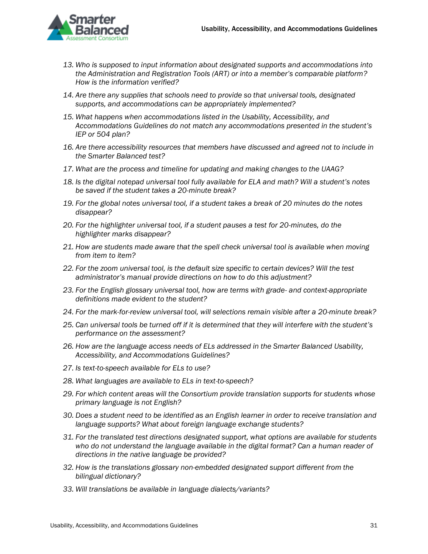

- *13. Who is supposed to input information about designated supports and accommodations into the Administration and Registration Tools (ART) or into a member's comparable platform? How is the information verified?*
- *14. Are there any supplies that schools need to provide so that universal tools, designated supports, and accommodations can be appropriately implemented?*
- *15. What happens when accommodations listed in the Usability, Accessibility, and Accommodations Guidelines do not match any accommodations presented in the student's IEP or 504 plan?*
- *16. Are there accessibility resources that members have discussed and agreed not to include in the Smarter Balanced test?*
- *17. What are the process and timeline for updating and making changes to the UAAG?*
- *18. Is the digital notepad universal tool fully available for ELA and math? Will a student's notes be saved if the student takes a 20-minute break?*
- *19. For the global notes universal tool, if a student takes a break of 20 minutes do the notes disappear?*
- *20. For the highlighter universal tool, if a student pauses a test for 20-minutes, do the highlighter marks disappear?*
- *21. How are students made aware that the spell check universal tool is available when moving from item to item?*
- *22. For the zoom universal tool, is the default size specific to certain devices? Will the test administrator's manual provide directions on how to do this adjustment?*
- *23. For the English glossary universal tool, how are terms with grade- and context-appropriate definitions made evident to the student?*
- *24. For the mark-for-review universal tool, will selections remain visible after a 20-minute break?*
- *25. Can universal tools be turned off if it is determined that they will interfere with the student's performance on the assessment?*
- *26. How are the language access needs of ELs addressed in the Smarter Balanced Usability, Accessibility, and Accommodations Guidelines?*
- *27. Is text-to-speech available for ELs to use?*
- *28. What languages are available to ELs in text-to-speech?*
- *29. For which content areas will the Consortium provide translation supports for students whose primary language is not English?*
- *30. Does a student need to be identified as an English learner in order to receive translation and language supports? What about foreign language exchange students?*
- *31. For the translated test directions designated support, what options are available for students who do not understand the language available in the digital format? Can a human reader of directions in the native language be provided?*
- *32. How is the translations glossary non-embedded designated support different from the bilingual dictionary?*
- *33. Will translations be available in language dialects/variants?*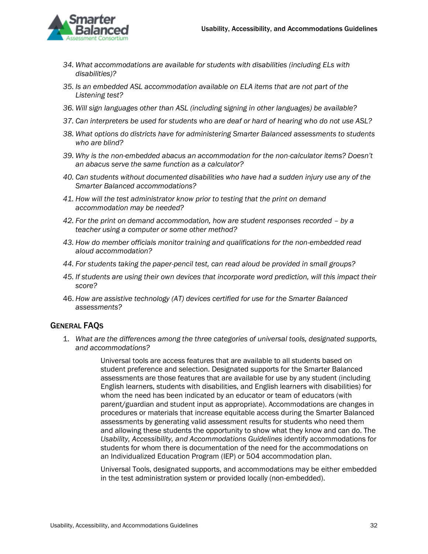

- *34. What accommodations are available for students with disabilities (including ELs with disabilities)?*
- *35. Is an embedded ASL accommodation available on ELA items that are not part of the Listening test?*
- *36. Will sign languages other than ASL (including signing in other languages) be available?*
- *37. Can interpreters be used for students who are deaf or hard of hearing who do not use ASL?*
- *38. What options do districts have for administering Smarter Balanced assessments to students who are blind?*
- *39. Why is the non-embedded abacus an accommodation for the non-calculator items? Doesn't an abacus serve the same function as a calculator?*
- *40. Can students without documented disabilities who have had a sudden injury use any of the Smarter Balanced accommodations?*
- *41. How will the test administrator know prior to testing that the print on demand accommodation may be needed?*
- *A2. For the print on demand accommodation, how are student responses recorded by a teacher using a computer or some other method?*
- *43. How do member officials monitor training and qualifications for the non-embedded read aloud accommodation?*
- *44. For students taking the paper-pencil test, can read aloud be provided in small groups?*
- *45. If students are using their own devices that incorporate word prediction, will this impact their score?*
- 46. *How are assistive technology (AT) devices certified for use for the Smarter Balanced assessments?*

### <span id="page-33-0"></span>GENERAL FAQS

1. *What are the differences among the three categories of universal tools, designated supports, and accommodations?*

> Universal tools are access features that are available to all students based on student preference and selection. Designated supports for the Smarter Balanced assessments are those features that are available for use by any student (including English learners, students with disabilities, and English learners with disabilities) for whom the need has been indicated by an educator or team of educators (with parent/guardian and student input as appropriate). Accommodations are changes in procedures or materials that increase equitable access during the Smarter Balanced assessments by generating valid assessment results for students who need them and allowing these students the opportunity to show what they know and can do. The *Usability, Accessibility, and Accommodations Guidelines* identify accommodations for students for whom there is documentation of the need for the accommodations on an Individualized Education Program (IEP) or 504 accommodation plan.

> Universal Tools, designated supports, and accommodations may be either embedded in the test administration system or provided locally (non-embedded).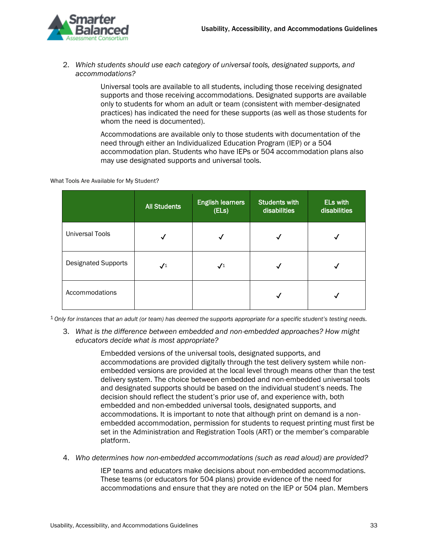

2. *Which students should use each category of universal tools, designated supports, and accommodations?*

> Universal tools are available to all students, including those receiving designated supports and those receiving accommodations. Designated supports are available only to students for whom an adult or team (consistent with member-designated practices) has indicated the need for these supports (as well as those students for whom the need is documented).

Accommodations are available only to those students with documentation of the need through either an Individualized Education Program (IEP) or a 504 accommodation plan. Students who have IEPs or 504 accommodation plans also may use designated supports and universal tools.

#### What Tools Are Available for My Student?

|                            | <b>All Students</b> | <b>English learners</b><br>(ELS) | <b>Students with</b><br>disabilities | <b>ELs with</b><br>disabilities |
|----------------------------|---------------------|----------------------------------|--------------------------------------|---------------------------------|
| <b>Universal Tools</b>     |                     |                                  |                                      |                                 |
| <b>Designated Supports</b> | $\mathcal{J}^1$     | $\sqrt{1}$                       |                                      |                                 |
| Accommodations             |                     |                                  |                                      |                                 |

1 *Only for instances that an adult (or team) has deemed the supports appropriate for a specific student's testing needs.*

3. *What is the difference between embedded and non-embedded approaches? How might educators decide what is most appropriate?*

> Embedded versions of the universal tools, designated supports, and accommodations are provided digitally through the test delivery system while nonembedded versions are provided at the local level through means other than the test delivery system. The choice between embedded and non-embedded universal tools and designated supports should be based on the individual student's needs. The decision should reflect the student's prior use of, and experience with, both embedded and non-embedded universal tools, designated supports, and accommodations. It is important to note that although print on demand is a nonembedded accommodation, permission for students to request printing must first be set in the Administration and Registration Tools (ART) or the member's comparable platform.

4. *Who determines how non-embedded accommodations (such as read aloud) are provided?*

IEP teams and educators make decisions about non-embedded accommodations. These teams (or educators for 504 plans) provide evidence of the need for accommodations and ensure that they are noted on the IEP or 504 plan. Members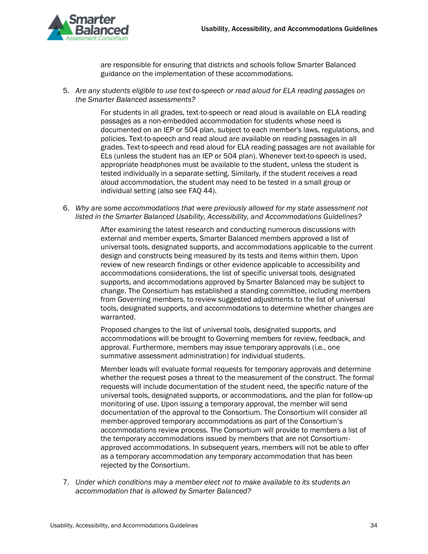

are responsible for ensuring that districts and schools follow Smarter Balanced guidance on the implementation of these accommodations.

5. *Are any students eligible to use text-to-speech or read aloud for ELA reading passages on the Smarter Balanced assessments?*

> For students in all grades, text-to-speech or read aloud is available on ELA reading passages as a non-embedded accommodation for students whose need is documented on an IEP or 504 plan, subject to each member's laws, regulations, and policies. Text-to-speech and read aloud are available on reading passages in all grades. Text-to-speech and read aloud for ELA reading passages are not available for ELs (unless the student has an IEP or 504 plan). Whenever text-to-speech is used, appropriate headphones must be available to the student, unless the student is tested individually in a separate setting. Similarly, if the student receives a read aloud accommodation, the student may need to be tested in a small group or individual setting (also see FAQ 44).

6. *Why are some accommodations that were previously allowed for my state assessment not listed in the Smarter Balanced Usability, Accessibility, and Accommodations Guidelines?*

> After examining the latest research and conducting numerous discussions with external and member experts, Smarter Balanced members approved a list of universal tools, designated supports, and accommodations applicable to the current design and constructs being measured by its tests and items within them. Upon review of new research findings or other evidence applicable to accessibility and accommodations considerations, the list of specific universal tools, designated supports, and accommodations approved by Smarter Balanced may be subject to change. The Consortium has established a standing committee, including members from Governing members, to review suggested adjustments to the list of universal tools, designated supports, and accommodations to determine whether changes are warranted.

Proposed changes to the list of universal tools, designated supports, and accommodations will be brought to Governing members for review, feedback, and approval. Furthermore, members may issue temporary approvals (i.e., one summative assessment administration) for individual students.

Member leads will evaluate formal requests for temporary approvals and determine whether the request poses a threat to the measurement of the construct. The formal requests will include documentation of the student need, the specific nature of the universal tools, designated supports, or accommodations, and the plan for follow-up monitoring of use. Upon issuing a temporary approval, the member will send documentation of the approval to the Consortium. The Consortium will consider all member-approved temporary accommodations as part of the Consortium's accommodations review process. The Consortium will provide to members a list of the temporary accommodations issued by members that are not Consortiumapproved accommodations. In subsequent years, members will not be able to offer as a temporary accommodation any temporary accommodation that has been rejected by the Consortium.

7. *Under which conditions may a member elect not to make available to its students an accommodation that is allowed by Smarter Balanced?*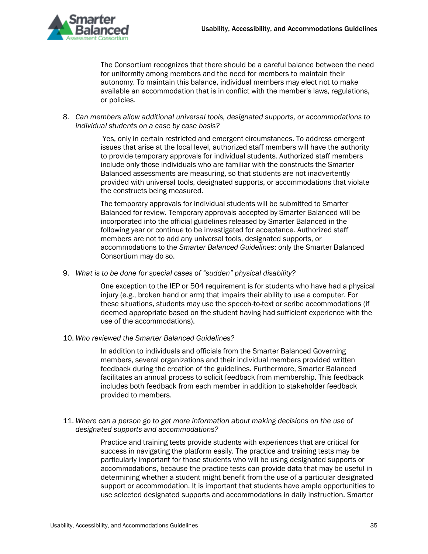

The Consortium recognizes that there should be a careful balance between the need for uniformity among members and the need for members to maintain their autonomy. To maintain this balance, individual members may elect not to make available an accommodation that is in conflict with the member's laws, regulations, or policies.

8. *Can members allow additional universal tools, designated supports, or accommodations to individual students on a case by case basis?*

> Yes, only in certain restricted and emergent circumstances. To address emergent issues that arise at the local level, authorized staff members will have the authority to provide temporary approvals for individual students. Authorized staff members include only those individuals who are familiar with the constructs the Smarter Balanced assessments are measuring, so that students are not inadvertently provided with universal tools, designated supports, or accommodations that violate the constructs being measured.

The temporary approvals for individual students will be submitted to Smarter Balanced for review. Temporary approvals accepted by Smarter Balanced will be incorporated into the official guidelines released by Smarter Balanced in the following year or continue to be investigated for acceptance. Authorized staff members are not to add any universal tools, designated supports, or accommodations to the *Smarter Balanced Guidelines*; only the Smarter Balanced Consortium may do so.

9. *What is to be done for special cases of "sudden" physical disability?*

One exception to the IEP or 504 requirement is for students who have had a physical injury (e.g., broken hand or arm) that impairs their ability to use a computer. For these situations, students may use the speech-to-text or scribe accommodations (if deemed appropriate based on the student having had sufficient experience with the use of the accommodations).

10. *Who reviewed the Smarter Balanced Guidelines?*

In addition to individuals and officials from the Smarter Balanced Governing members, several organizations and their individual members provided written feedback during the creation of the guidelines. Furthermore, Smarter Balanced facilitates an annual process to solicit feedback from membership. This feedback includes both feedback from each member in addition to stakeholder feedback provided to members.

#### 11. *Where can a person go to get more information about making decisions on the use of designated supports and accommodations?*

Practice and training tests provide students with experiences that are critical for success in navigating the platform easily. The practice and training tests may be particularly important for those students who will be using designated supports or accommodations, because the practice tests can provide data that may be useful in determining whether a student might benefit from the use of a particular designated support or accommodation. It is important that students have ample opportunities to use selected designated supports and accommodations in daily instruction. Smarter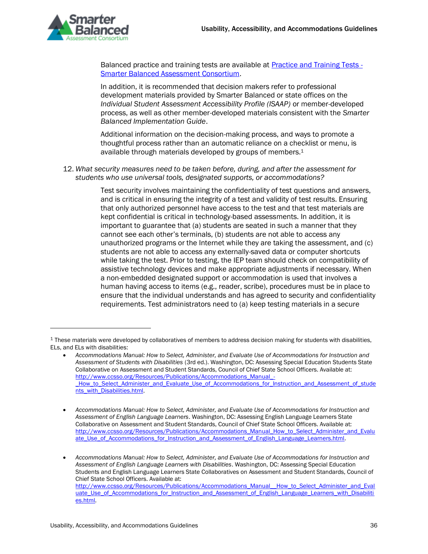

Balanced practice and training tests are available at [Practice and Training Tests -](https://www.smarterbalanced.org/assessments/practice-and-training-tests/) [Smarter Balanced Assessment Consortium.](https://www.smarterbalanced.org/assessments/practice-and-training-tests/)

In addition, it is recommended that decision makers refer to professional development materials provided by Smarter Balanced or state offices on the *Individual Student Assessment Accessibility Profile (ISAAP)* or member-developed process, as well as other member-developed materials consistent with the *Smarter Balanced Implementation Guide*.

Additional information on the decision-making process, and ways to promote a thoughtful process rather than an automatic reliance on a checklist or menu, is available through materials developed by groups of members.<sup>1</sup>

12. *What security measures need to be taken before, during, and after the assessment for students who use universal tools, designated supports, or accommodations?*

> Test security involves maintaining the confidentiality of test questions and answers, and is critical in ensuring the integrity of a test and validity of test results. Ensuring that only authorized personnel have access to the test and that test materials are kept confidential is critical in technology-based assessments. In addition, it is important to guarantee that (a) students are seated in such a manner that they cannot see each other's terminals, (b) students are not able to access any unauthorized programs or the Internet while they are taking the assessment, and (c) students are not able to access any externally-saved data or computer shortcuts while taking the test. Prior to testing, the IEP team should check on compatibility of assistive technology devices and make appropriate adjustments if necessary. When a non-embedded designated support or accommodation is used that involves a human having access to items (e.g., reader, scribe), procedures must be in place to ensure that the individual understands and has agreed to security and confidentiality requirements. Test administrators need to (a) keep testing materials in a secure

 $1$  These materials were developed by collaboratives of members to address decision making for students with disabilities, ELs, and ELs with disabilities:

<sup>•</sup> *Accommodations Manual: How to Select, Administer, and Evaluate Use of Accommodations for Instruction and Assessment of Students with Disabilities* (3rd ed.). Washington, DC: Assessing Special Education Students State Collaborative on Assessment and Student Standards, Council of Chief State School Officers. Available at: [http://www.ccsso.org/Resources/Publications/Accommodations\\_Manual\\_-](http://www.ccsso.org/Resources/Publications/Accommodations_Manual_-_How_to_Select_Administer_and_Evaluate_Use_of_Accommodations_for_Instruction_and_Assessment_of_students_with_Disabilities.html) [\\_How\\_to\\_Select\\_Administer\\_and\\_Evaluate\\_Use\\_of\\_Accommodations\\_for\\_Instruction\\_and\\_Assessment\\_of\\_stude](http://www.ccsso.org/Resources/Publications/Accommodations_Manual_-_How_to_Select_Administer_and_Evaluate_Use_of_Accommodations_for_Instruction_and_Assessment_of_students_with_Disabilities.html) [nts\\_with\\_Disabilities.html.](http://www.ccsso.org/Resources/Publications/Accommodations_Manual_-_How_to_Select_Administer_and_Evaluate_Use_of_Accommodations_for_Instruction_and_Assessment_of_students_with_Disabilities.html)

<sup>•</sup> *Accommodations Manual: How to Select, Administer, and Evaluate Use of Accommodations for Instruction and Assessment of English Language Learners*. Washington, DC: Assessing English Language Learners State Collaborative on Assessment and Student Standards, Council of Chief State School Officers. Available at: [http://www.ccsso.org/Resources/Publications/Accommodations\\_Manual\\_How\\_to\\_Select\\_Administer\\_and\\_Evalu](http://www.ccsso.org/Resources/Publications/Accommodations_Manual_How_to_Select_Administer_and_Evaluate_Use_of_Accommodations_for_Instruction_and_Assessment_of_English_Language_Learners.html) [ate\\_Use\\_of\\_Accommodations\\_for\\_Instruction\\_and\\_Assessment\\_of\\_English\\_Language\\_Learners.html.](http://www.ccsso.org/Resources/Publications/Accommodations_Manual_How_to_Select_Administer_and_Evaluate_Use_of_Accommodations_for_Instruction_and_Assessment_of_English_Language_Learners.html)

<sup>•</sup> *Accommodations Manual: How to Select, Administer, and Evaluate Use of Accommodations for Instruction and Assessment of English Language Learners with Disabilities*. Washington, DC: Assessing Special Education Students and English Language Learners State Collaboratives on Assessment and Student Standards, Council of Chief State School Officers. Available at: [http://www.ccsso.org/Resources/Publications/Accommodations\\_Manual\\_\\_How\\_to\\_Select\\_Administer\\_and\\_Eval](http://www.ccsso.org/Resources/Publications/Accommodations_Manual__How_to_Select_Administer_and_Evaluate_Use_of_Accommodations_for_Instruction_and_Assessment_of_English_Language_Learners_with_Disabilities.html) [uate\\_Use\\_of\\_Accommodations\\_for\\_Instruction\\_and\\_Assessment\\_of\\_English\\_Language\\_Learners\\_with\\_Disabiliti](http://www.ccsso.org/Resources/Publications/Accommodations_Manual__How_to_Select_Administer_and_Evaluate_Use_of_Accommodations_for_Instruction_and_Assessment_of_English_Language_Learners_with_Disabilities.html) [es.html.](http://www.ccsso.org/Resources/Publications/Accommodations_Manual__How_to_Select_Administer_and_Evaluate_Use_of_Accommodations_for_Instruction_and_Assessment_of_English_Language_Learners_with_Disabilities.html)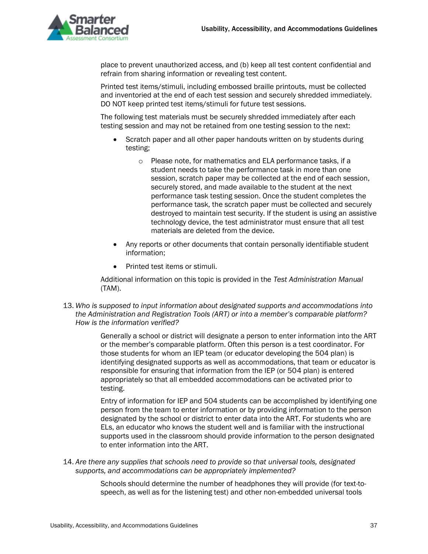

place to prevent unauthorized access, and (b) keep all test content confidential and refrain from sharing information or revealing test content.

Printed test items/stimuli, including embossed braille printouts, must be collected and inventoried at the end of each test session and securely shredded immediately. DO NOT keep printed test items/stimuli for future test sessions.

The following test materials must be securely shredded immediately after each testing session and may not be retained from one testing session to the next:

- Scratch paper and all other paper handouts written on by students during testing;
	- o Please note, for mathematics and ELA performance tasks, if a student needs to take the performance task in more than one session, scratch paper may be collected at the end of each session, securely stored, and made available to the student at the next performance task testing session. Once the student completes the performance task, the scratch paper must be collected and securely destroyed to maintain test security. If the student is using an assistive technology device, the test administrator must ensure that all test materials are deleted from the device.
- Any reports or other documents that contain personally identifiable student information;
- Printed test items or stimuli.

Additional information on this topic is provided in the *Test Administration Manual* (TAM).

13. *Who is supposed to input information about designated supports and accommodations into the Administration and Registration Tools (ART) or into a member's comparable platform? How is the information verified?*

> Generally a school or district will designate a person to enter information into the ART or the member's comparable platform. Often this person is a test coordinator. For those students for whom an IEP team (or educator developing the 504 plan) is identifying designated supports as well as accommodations, that team or educator is responsible for ensuring that information from the IEP (or 504 plan) is entered appropriately so that all embedded accommodations can be activated prior to testing.

> Entry of information for IEP and 504 students can be accomplished by identifying one person from the team to enter information or by providing information to the person designated by the school or district to enter data into the ART. For students who are ELs, an educator who knows the student well and is familiar with the instructional supports used in the classroom should provide information to the person designated to enter information into the ART.

14. *Are there any supplies that schools need to provide so that universal tools, designated supports, and accommodations can be appropriately implemented?*

> Schools should determine the number of headphones they will provide (for text-tospeech, as well as for the listening test) and other non-embedded universal tools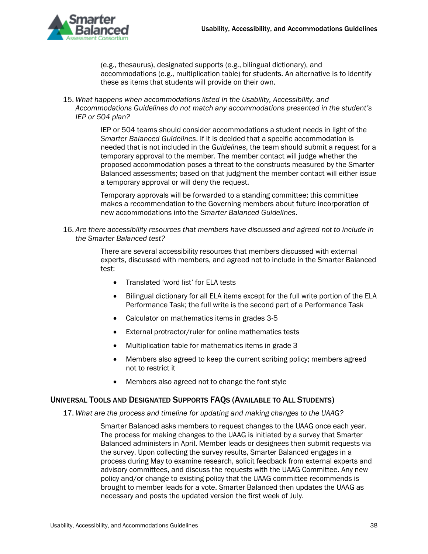

(e.g., thesaurus), designated supports (e.g., bilingual dictionary), and accommodations (e.g., multiplication table) for students. An alternative is to identify these as items that students will provide on their own.

15. *What happens when accommodations listed in the Usability, Accessibility, and Accommodations Guidelines do not match any accommodations presented in the student's IEP or 504 plan?*

> IEP or 504 teams should consider accommodations a student needs in light of the *Smarter Balanced Guidelines*. If it is decided that a specific accommodation is needed that is not included in the *Guidelines*, the team should submit a request for a temporary approval to the member. The member contact will judge whether the proposed accommodation poses a threat to the constructs measured by the Smarter Balanced assessments; based on that judgment the member contact will either issue a temporary approval or will deny the request.

Temporary approvals will be forwarded to a standing committee; this committee makes a recommendation to the Governing members about future incorporation of new accommodations into the *Smarter Balanced Guidelines*.

16. *Are there accessibility resources that members have discussed and agreed not to include in the Smarter Balanced test?*

> There are several accessibility resources that members discussed with external experts, discussed with members, and agreed not to include in the Smarter Balanced test:

- Translated 'word list' for ELA tests
- Bilingual dictionary for all ELA items except for the full write portion of the ELA Performance Task; the full write is the second part of a Performance Task
- Calculator on mathematics items in grades 3-5
- External protractor/ruler for online mathematics tests
- Multiplication table for mathematics items in grade 3
- Members also agreed to keep the current scribing policy; members agreed not to restrict it
- Members also agreed not to change the font style

### <span id="page-39-0"></span>UNIVERSAL TOOLS AND DESIGNATED SUPPORTS FAQS (AVAILABLE TO ALL STUDENTS)

17. *What are the process and timeline for updating and making changes to the UAAG?*

Smarter Balanced asks members to request changes to the UAAG once each year. The process for making changes to the UAAG is initiated by a survey that Smarter Balanced administers in April. Member leads or designees then submit requests via the survey. Upon collecting the survey results, Smarter Balanced engages in a process during May to examine research, solicit feedback from external experts and advisory committees, and discuss the requests with the UAAG Committee. Any new policy and/or change to existing policy that the UAAG committee recommends is brought to member leads for a vote. Smarter Balanced then updates the UAAG as necessary and posts the updated version the first week of July.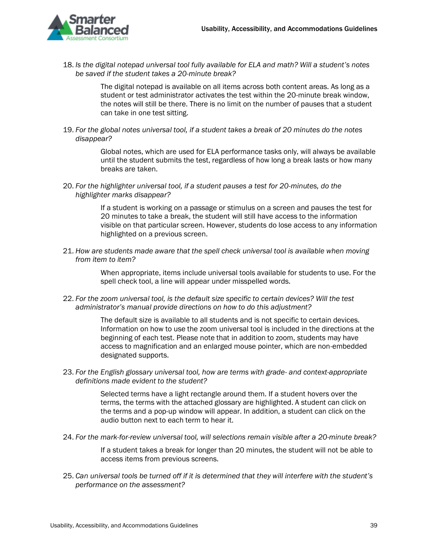

18. *Is the digital notepad universal tool fully available for ELA and math? Will a student's notes be saved if the student takes a 20-minute break?*

> The digital notepad is available on all items across both content areas. As long as a student or test administrator activates the test within the 20-minute break window, the notes will still be there. There is no limit on the number of pauses that a student can take in one test sitting.

19. *For the global notes universal tool, if a student takes a break of 20 minutes do the notes disappear?*

> Global notes, which are used for ELA performance tasks only, will always be available until the student submits the test, regardless of how long a break lasts or how many breaks are taken.

20. *For the highlighter universal tool, if a student pauses a test for 20-minutes, do the highlighter marks disappear?*

> If a student is working on a passage or stimulus on a screen and pauses the test for 20 minutes to take a break, the student will still have access to the information visible on that particular screen. However, students do lose access to any information highlighted on a previous screen.

21. *How are students made aware that the spell check universal tool is available when moving from item to item?*

> When appropriate, items include universal tools available for students to use. For the spell check tool, a line will appear under misspelled words.

22. *For the zoom universal tool, is the default size specific to certain devices? Will the test administrator's manual provide directions on how to do this adjustment?*

> The default size is available to all students and is not specific to certain devices. Information on how to use the zoom universal tool is included in the directions at the beginning of each test. Please note that in addition to zoom, students may have access to magnification and an enlarged mouse pointer, which are non-embedded designated supports.

23. *For the English glossary universal tool, how are terms with grade- and context-appropriate definitions made evident to the student?*

> Selected terms have a light rectangle around them. If a student hovers over the terms, the terms with the attached glossary are highlighted. A student can click on the terms and a pop-up window will appear. In addition, a student can click on the audio button next to each term to hear it.

24. *For the mark-for-review universal tool, will selections remain visible after a 20-minute break?*

If a student takes a break for longer than 20 minutes, the student will not be able to access items from previous screens.

25. *Can universal tools be turned off if it is determined that they will interfere with the student's performance on the assessment?*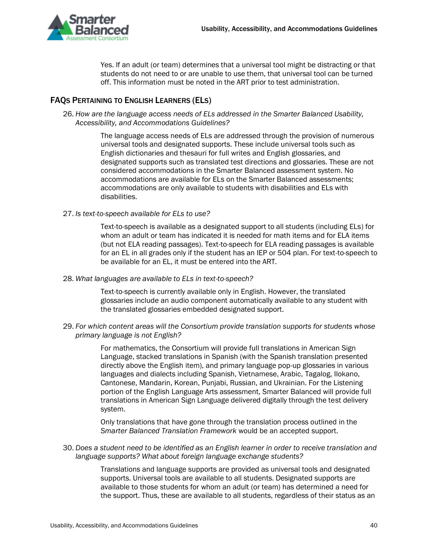

Yes. If an adult (or team) determines that a universal tool might be distracting or that students do not need to or are unable to use them, that universal tool can be turned off. This information must be noted in the ART prior to test administration.

### <span id="page-41-0"></span>FAQS PERTAINING TO ENGLISH LEARNERS (ELS)

26. *How are the language access needs of ELs addressed in the Smarter Balanced Usability, Accessibility, and Accommodations Guidelines?*

> The language access needs of ELs are addressed through the provision of numerous universal tools and designated supports. These include universal tools such as English dictionaries and thesauri for full writes and English glossaries, and designated supports such as translated test directions and glossaries. These are not considered accommodations in the Smarter Balanced assessment system. No accommodations are available for ELs on the Smarter Balanced assessments; accommodations are only available to students with disabilities and ELs with disabilities.

27. *Is text-to-speech available for ELs to use?*

Text-to-speech is available as a designated support to all students (including ELs) for whom an adult or team has indicated it is needed for math items and for ELA items (but not ELA reading passages). Text-to-speech for ELA reading passages is available for an EL in all grades only if the student has an IEP or 504 plan. For text-to-speech to be available for an EL, it must be entered into the ART.

28. *What languages are available to ELs in text-to-speech?*

Text-to-speech is currently available only in English. However, the translated glossaries include an audio component automatically available to any student with the translated glossaries embedded designated support.

29. *For which content areas will the Consortium provide translation supports for students whose primary language is not English?*

> For mathematics, the Consortium will provide full translations in American Sign Language, stacked translations in Spanish (with the Spanish translation presented directly above the English item), and primary language pop-up glossaries in various languages and dialects including Spanish, Vietnamese, Arabic, Tagalog, Ilokano, Cantonese, Mandarin, Korean, Punjabi, Russian, and Ukrainian. For the Listening portion of the English Language Arts assessment, Smarter Balanced will provide full translations in American Sign Language delivered digitally through the test delivery system.

Only translations that have gone through the translation process outlined in the *Smarter Balanced Translation Framework* would be an accepted support.

30. *Does a student need to be identified as an English learner in order to receive translation and language supports? What about foreign language exchange students?*

> Translations and language supports are provided as universal tools and designated supports. Universal tools are available to all students. Designated supports are available to those students for whom an adult (or team) has determined a need for the support. Thus, these are available to all students, regardless of their status as an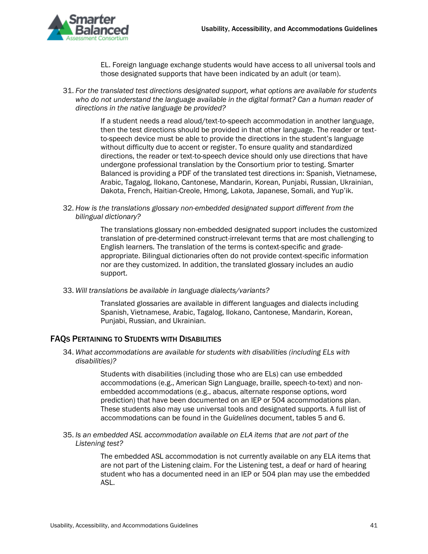

EL. Foreign language exchange students would have access to all universal tools and those designated supports that have been indicated by an adult (or team).

31. *For the translated test directions designated support, what options are available for students*  who do not understand the language available in the digital format? Can a human reader of *directions in the native language be provided?*

> If a student needs a read aloud/text-to-speech accommodation in another language, then the test directions should be provided in that other language. The reader or textto-speech device must be able to provide the directions in the student's language without difficulty due to accent or register. To ensure quality and standardized directions, the reader or text-to-speech device should only use directions that have undergone professional translation by the Consortium prior to testing. Smarter Balanced is providing a PDF of the translated test directions in: Spanish, Vietnamese, Arabic, Tagalog, Ilokano, Cantonese, Mandarin, Korean, Punjabi, Russian, Ukrainian, Dakota, French, Haitian-Creole, Hmong, Lakota, Japanese, Somali, and Yup'ik.

32. *How is the translations glossary non-embedded designated support different from the bilingual dictionary?*

> The translations glossary non-embedded designated support includes the customized translation of pre-determined construct-irrelevant terms that are most challenging to English learners. The translation of the terms is context-specific and gradeappropriate. Bilingual dictionaries often do not provide context-specific information nor are they customized. In addition, the translated glossary includes an audio support.

33. *Will translations be available in language dialects/variants?*

Translated glossaries are available in different languages and dialects including Spanish, Vietnamese, Arabic, Tagalog, Ilokano, Cantonese, Mandarin, Korean, Punjabi, Russian, and Ukrainian.

### <span id="page-42-0"></span>FAQS PERTAINING TO STUDENTS WITH DISABILITIES

34. *What accommodations are available for students with disabilities (including ELs with disabilities)?*

> Students with disabilities (including those who are ELs) can use embedded accommodations (e.g., American Sign Language, braille, speech-to-text) and nonembedded accommodations (e.g., abacus, alternate response options, word prediction) that have been documented on an IEP or 504 accommodations plan. These students also may use universal tools and designated supports. A full list of accommodations can be found in the *Guidelines* document, tables 5 and 6.

35. *Is an embedded ASL accommodation available on ELA items that are not part of the Listening test?*

> The embedded ASL accommodation is not currently available on any ELA items that are not part of the Listening claim. For the Listening test, a deaf or hard of hearing student who has a documented need in an IEP or 504 plan may use the embedded ASL.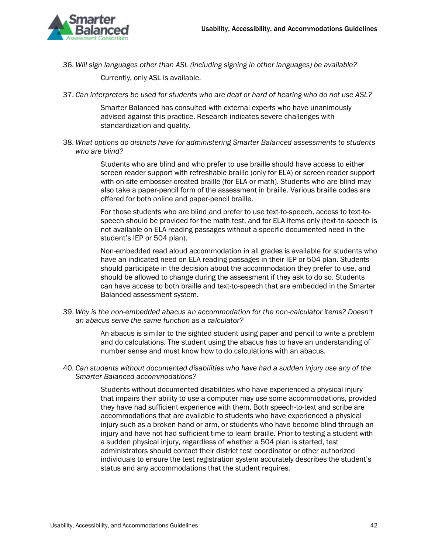

36. *Will sign languages other than ASL (including signing in other languages) be available?*

Currently, only ASL is available.

37. *Can interpreters be used for students who are deaf or hard of hearing who do not use ASL?*

Smarter Balanced has consulted with external experts who have unanimously advised against this practice. Research indicates severe challenges with standardization and quality.

38. *What options do districts have for administering Smarter Balanced assessments to students who are blind?*

> Students who are blind and who prefer to use braille should have access to either screen reader support with refreshable braille (only for ELA) or screen reader support with on-site embosser-created braille (for ELA or math). Students who are blind may also take a paper-pencil form of the assessment in braille. Various braille codes are offered for both online and paper-pencil braille.

> For those students who are blind and prefer to use text-to-speech, access to text-tospeech should be provided for the math test, and for ELA items only (text-to-speech is not available on ELA reading passages without a specific documented need in the student's IEP or 504 plan).

> Non-embedded read aloud accommodation in all grades is available for students who have an indicated need on ELA reading passages in their IEP or 504 plan. Students should participate in the decision about the accommodation they prefer to use, and should be allowed to change during the assessment if they ask to do so. Students can have access to both braille and text-to-speech that are embedded in the Smarter Balanced assessment system.

39. *Why is the non-embedded abacus an accommodation for the non-calculator items? Doesn't an abacus serve the same function as a calculator?*

> An abacus is similar to the sighted student using paper and pencil to write a problem and do calculations. The student using the abacus has to have an understanding of number sense and must know how to do calculations with an abacus.

40. *Can students without documented disabilities who have had a sudden injury use any of the Smarter Balanced accommodations?*

> Students without documented disabilities who have experienced a physical injury that impairs their ability to use a computer may use some accommodations, provided they have had sufficient experience with them. Both speech-to-text and scribe are accommodations that are available to students who have experienced a physical injury such as a broken hand or arm, or students who have become blind through an injury and have not had sufficient time to learn braille. Prior to testing a student with a sudden physical injury, regardless of whether a 504 plan is started, test administrators should contact their district test coordinator or other authorized individuals to ensure the test registration system accurately describes the student's status and any accommodations that the student requires.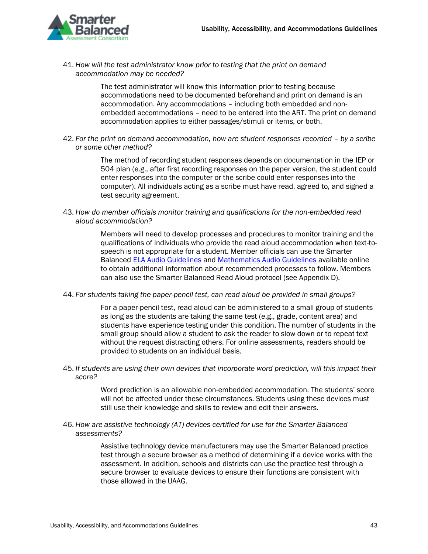

41. *How will the test administrator know prior to testing that the print on demand accommodation may be needed?*

> The test administrator will know this information prior to testing because accommodations need to be documented beforehand and print on demand is an accommodation. Any accommodations – including both embedded and nonembedded accommodations – need to be entered into the ART. The print on demand accommodation applies to either passages/stimuli or items, or both.

42. For the print on demand accommodation, how are student responses recorded - by a scribe *or some other method?*

> The method of recording student responses depends on documentation in the IEP or 504 plan (e.g., after first recording responses on the paper version, the student could enter responses into the computer or the scribe could enter responses into the computer). All individuals acting as a scribe must have read, agreed to, and signed a test security agreement.

43. *How do member officials monitor training and qualifications for the non-embedded read aloud accommodation?*

> Members will need to develop processes and procedures to monitor training and the qualifications of individuals who provide the read aloud accommodation when text-tospeech is not appropriate for a student. Member officials can use the Smarter Balanced [ELA Audio Guidelines](https://portal.smarterbalanced.org/library/en/ela-audio-guidelines.pdf) and [Mathematics Audio Guidelines](https://portal.smarterbalanced.org/library/en/mathematics-audio-guidelines.pdf) available online to obtain additional information about recommended processes to follow. Members can also use the Smarter Balanced Read Aloud protocol (see Appendix D).

44. *For students taking the paper-pencil test, can read aloud be provided in small groups?*

For a paper-pencil test, read aloud can be administered to a small group of students as long as the students are taking the same test (e.g., grade, content area) and students have experience testing under this condition. The number of students in the small group should allow a student to ask the reader to slow down or to repeat text without the request distracting others. For online assessments, readers should be provided to students on an individual basis.

45. *If students are using their own devices that incorporate word prediction, will this impact their score?*

> Word prediction is an allowable non-embedded accommodation. The students' score will not be affected under these circumstances. Students using these devices must still use their knowledge and skills to review and edit their answers.

46. *How are assistive technology (AT) devices certified for use for the Smarter Balanced assessments?*

> Assistive technology device manufacturers may use the Smarter Balanced practice test through a secure browser as a method of determining if a device works with the assessment. In addition, schools and districts can use the practice test through a secure browser to evaluate devices to ensure their functions are consistent with those allowed in the UAAG.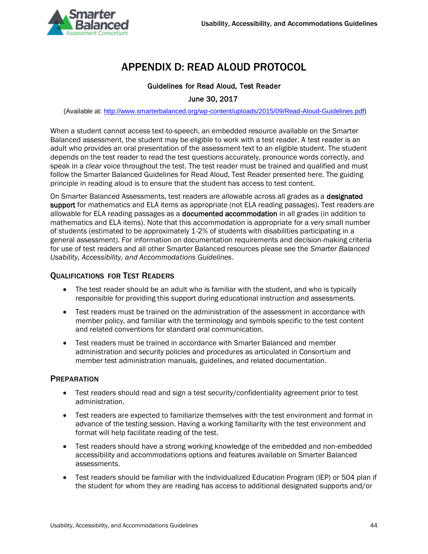

# APPENDIX D: READ ALOUD PROTOCOL

### Guidelines for Read Aloud, Test Reader

### June 30, 2017

<span id="page-45-0"></span>(Available at: http://www.smarterbalanced.org/wp-content/uploads/2015/09/Read-Aloud-Guidelines.pdf)

When a student cannot access text-to-speech, an embedded resource available on the Smarter Balanced assessment, the student may be eligible to work with a test reader. A test reader is an adult who provides an oral presentation of the assessment text to an eligible student. The student depends on the test reader to read the test questions accurately, pronounce words correctly, and speak in a clear voice throughout the test. The test reader must be trained and qualified and must follow the Smarter Balanced Guidelines for Read Aloud, Test Reader presented here. The guiding principle in reading aloud is to ensure that the student has access to test content.

On Smarter Balanced Assessments, test readers are allowable across all grades as a designated support for mathematics and ELA items as appropriate (not ELA reading passages). Test readers are allowable for ELA reading passages as a documented accommodation in all grades (in addition to mathematics and ELA items). Note that this accommodation is appropriate for a very small number of students (estimated to be approximately 1-2% of students with disabilities participating in a general assessment). For information on documentation requirements and decision-making criteria for use of test readers and all other Smarter Balanced resources please see the *Smarter Balanced Usability, Accessibility, and Accommodations Guidelines*.

### QUALIFICATIONS FOR TEST READERS

- The test reader should be an adult who is familiar with the student, and who is typically responsible for providing this support during educational instruction and assessments.
- Test readers must be trained on the administration of the assessment in accordance with member policy, and familiar with the terminology and symbols specific to the test content and related conventions for standard oral communication.
- Test readers must be trained in accordance with Smarter Balanced and member administration and security policies and procedures as articulated in Consortium and member test administration manuals, guidelines, and related documentation.

### **PREPARATION**

- Test readers should read and sign a test security/confidentiality agreement prior to test administration.
- Test readers are expected to familiarize themselves with the test environment and format in advance of the testing session. Having a working familiarity with the test environment and format will help facilitate reading of the test.
- Test readers should have a strong working knowledge of the embedded and non-embedded accessibility and accommodations options and features available on Smarter Balanced assessments.
- Test readers should be familiar with the Individualized Education Program (IEP) or 504 plan if the student for whom they are reading has access to additional designated supports and/or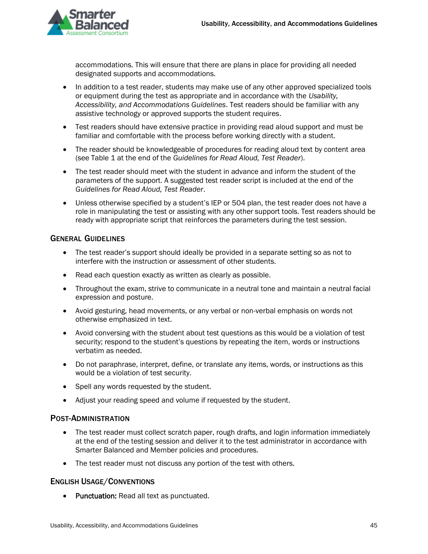

accommodations. This will ensure that there are plans in place for providing all needed designated supports and accommodations.

- In addition to a test reader, students may make use of any other approved specialized tools or equipment during the test as appropriate and in accordance with the *Usability, Accessibility, and Accommodations Guidelines*. Test readers should be familiar with any assistive technology or approved supports the student requires.
- Test readers should have extensive practice in providing read aloud support and must be familiar and comfortable with the process before working directly with a student.
- The reader should be knowledgeable of procedures for reading aloud text by content area (see Table 1 at the end of the *Guidelines for Read Aloud, Test Reader*).
- The test reader should meet with the student in advance and inform the student of the parameters of the support. A suggested test reader script is included at the end of the *Guidelines for Read Aloud, Test Reader*.
- Unless otherwise specified by a student's IEP or 504 plan, the test reader does not have a role in manipulating the test or assisting with any other support tools. Test readers should be ready with appropriate script that reinforces the parameters during the test session.

### GENERAL GUIDELINES

- The test reader's support should ideally be provided in a separate setting so as not to interfere with the instruction or assessment of other students.
- Read each question exactly as written as clearly as possible.
- Throughout the exam, strive to communicate in a neutral tone and maintain a neutral facial expression and posture.
- Avoid gesturing, head movements, or any verbal or non-verbal emphasis on words not otherwise emphasized in text.
- Avoid conversing with the student about test questions as this would be a violation of test security; respond to the student's questions by repeating the item, words or instructions verbatim as needed.
- Do not paraphrase, interpret, define, or translate any items, words, or instructions as this would be a violation of test security.
- Spell any words requested by the student.
- Adjust your reading speed and volume if requested by the student.

### POST-ADMINISTRATION

- The test reader must collect scratch paper, rough drafts, and login information immediately at the end of the testing session and deliver it to the test administrator in accordance with Smarter Balanced and Member policies and procedures.
- The test reader must not discuss any portion of the test with others.

### ENGLISH USAGE/CONVENTIONS

• Punctuation: Read all text as punctuated.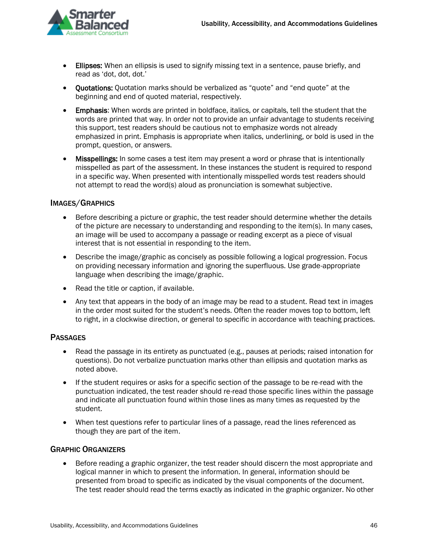

- Ellipses: When an ellipsis is used to signify missing text in a sentence, pause briefly, and read as 'dot, dot, dot.'
- Quotations: Quotation marks should be verbalized as "quote" and "end quote" at the beginning and end of quoted material, respectively.
- Emphasis: When words are printed in boldface, italics, or capitals, tell the student that the words are printed that way. In order not to provide an unfair advantage to students receiving this support, test readers should be cautious not to emphasize words not already emphasized in print. Emphasis is appropriate when italics, underlining, or bold is used in the prompt, question, or answers.
- Misspellings: In some cases a test item may present a word or phrase that is intentionally misspelled as part of the assessment. In these instances the student is required to respond in a specific way. When presented with intentionally misspelled words test readers should not attempt to read the word(s) aloud as pronunciation is somewhat subjective.

### IMAGES/GRAPHICS

- Before describing a picture or graphic, the test reader should determine whether the details of the picture are necessary to understanding and responding to the item(s). In many cases, an image will be used to accompany a passage or reading excerpt as a piece of visual interest that is not essential in responding to the item.
- Describe the image/graphic as concisely as possible following a logical progression. Focus on providing necessary information and ignoring the superfluous. Use grade-appropriate language when describing the image/graphic.
- Read the title or caption, if available.
- Any text that appears in the body of an image may be read to a student. Read text in images in the order most suited for the student's needs. Often the reader moves top to bottom, left to right, in a clockwise direction, or general to specific in accordance with teaching practices.

### PASSAGES

- Read the passage in its entirety as punctuated (e.g., pauses at periods; raised intonation for questions). Do not verbalize punctuation marks other than ellipsis and quotation marks as noted above.
- If the student requires or asks for a specific section of the passage to be re-read with the punctuation indicated, the test reader should re-read those specific lines within the passage and indicate all punctuation found within those lines as many times as requested by the student.
- When test questions refer to particular lines of a passage, read the lines referenced as though they are part of the item.

### GRAPHIC ORGANIZERS

• Before reading a graphic organizer, the test reader should discern the most appropriate and logical manner in which to present the information. In general, information should be presented from broad to specific as indicated by the visual components of the document. The test reader should read the terms exactly as indicated in the graphic organizer. No other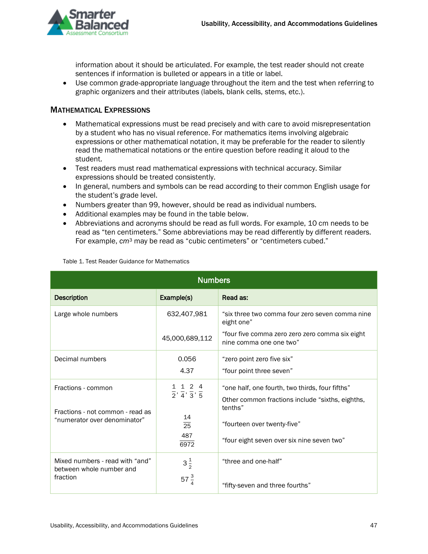

information about it should be articulated. For example, the test reader should not create sentences if information is bulleted or appears in a title or label.

• Use common grade-appropriate language throughout the item and the test when referring to graphic organizers and their attributes (labels, blank cells, stems, etc.).

### MATHEMATICAL EXPRESSIONS

- Mathematical expressions must be read precisely and with care to avoid misrepresentation by a student who has no visual reference. For mathematics items involving algebraic expressions or other mathematical notation, it may be preferable for the reader to silently read the mathematical notations or the entire question before reading it aloud to the student.
- Test readers must read mathematical expressions with technical accuracy. Similar expressions should be treated consistently.
- In general, numbers and symbols can be read according to their common English usage for the student's grade level.
- Numbers greater than 99, however, should be read as individual numbers.
- Additional examples may be found in the table below.
- Abbreviations and acronyms should be read as full words. For example, 10 cm needs to be read as "ten centimeters." Some abbreviations may be read differently by different readers. For example, *cm*<sup>3</sup> may be read as "cubic centimeters" or "centimeters cubed."

| <b>Numbers</b>                                              |                                                                              |                                                                                                     |  |
|-------------------------------------------------------------|------------------------------------------------------------------------------|-----------------------------------------------------------------------------------------------------|--|
| <b>Description</b>                                          | Example(s)                                                                   | Read as:                                                                                            |  |
| Large whole numbers                                         | 632,407,981                                                                  | "six three two comma four zero seven comma nine<br>eight one"                                       |  |
|                                                             | 45,000,689,112                                                               | "four five comma zero zero zero comma six eight<br>nine comma one one two"                          |  |
| Decimal numbers                                             | 0.056                                                                        | "zero point zero five six"                                                                          |  |
|                                                             | 4.37                                                                         | "four point three seven"                                                                            |  |
| Fractions - common                                          | 1 1 2 4<br>$\overline{2}$ , $\overline{4}$ , $\overline{3}$ , $\overline{5}$ | "one half, one fourth, two thirds, four fifths"<br>Other common fractions include "sixths, eighths, |  |
| Fractions - not common - read as                            | 14                                                                           | tenths"                                                                                             |  |
| "numerator over denominator"                                | $\overline{25}$                                                              | "fourteen over twenty-five"                                                                         |  |
|                                                             | 487<br>6972                                                                  | "four eight seven over six nine seven two"                                                          |  |
| Mixed numbers - read with "and"<br>between whole number and | $3\frac{1}{2}$                                                               | "three and one-half"                                                                                |  |
| fraction                                                    | $57\frac{3}{4}$                                                              | "fifty-seven and three fourths"                                                                     |  |

Table 1. Test Reader Guidance for Mathematics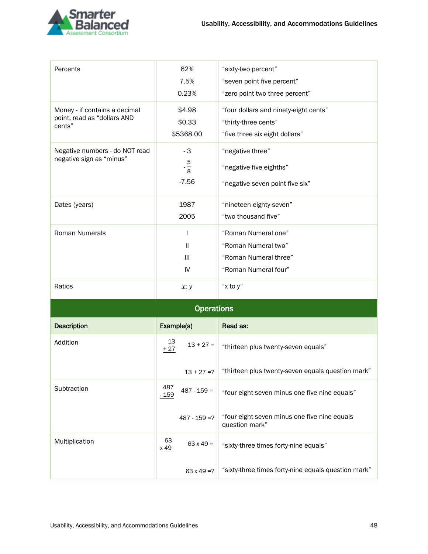

| Percents                                                               | 62%<br>7.5%<br>0.23%            | "sixty-two percent"<br>"seven point five percent"<br>"zero point two three percent"             |
|------------------------------------------------------------------------|---------------------------------|-------------------------------------------------------------------------------------------------|
| Money - if contains a decimal<br>point, read as "dollars AND<br>cents" | \$4.98<br>\$0.33<br>\$5368.00   | "four dollars and ninety-eight cents"<br>"thirty-three cents"<br>"five three six eight dollars" |
| Negative numbers - do NOT read<br>negative sign as "minus"             | - 3<br>$\frac{5}{8}$<br>$-7.56$ | "negative three"<br>"negative five eighths"<br>"negative seven point five six"                  |
| Dates (years)                                                          | 1987<br>2005                    | "nineteen eighty-seven"<br>"two thousand five"                                                  |
| <b>Roman Numerals</b>                                                  | Ш<br>Ш<br>IV                    | "Roman Numeral one"<br>"Roman Numeral two"<br>"Roman Numeral three"<br>"Roman Numeral four"     |
| Ratios                                                                 | x: y                            | "x to $y$ "                                                                                     |

| <b>Operations</b>  |                                |                                                                |  |  |  |  |
|--------------------|--------------------------------|----------------------------------------------------------------|--|--|--|--|
| <b>Description</b> | Example(s)                     | Read as:                                                       |  |  |  |  |
| Addition           | 13<br>$13 + 27 =$<br>$+27$     | "thirteen plus twenty-seven equals"                            |  |  |  |  |
|                    | $13 + 27 = ?$                  | "thirteen plus twenty-seven equals question mark"              |  |  |  |  |
| Subtraction        | 487<br>$487 - 159 =$<br>$-159$ | "four eight seven minus one five nine equals"                  |  |  |  |  |
|                    | $487 - 159 = ?$                | "four eight seven minus one five nine equals<br>question mark" |  |  |  |  |
| Multiplication     | 63<br>$63 \times 49 =$<br>x 49 | "sixty-three times forty-nine equals"                          |  |  |  |  |
|                    | $63 \times 49 = ?$             | "sixty-three times forty-nine equals question mark"            |  |  |  |  |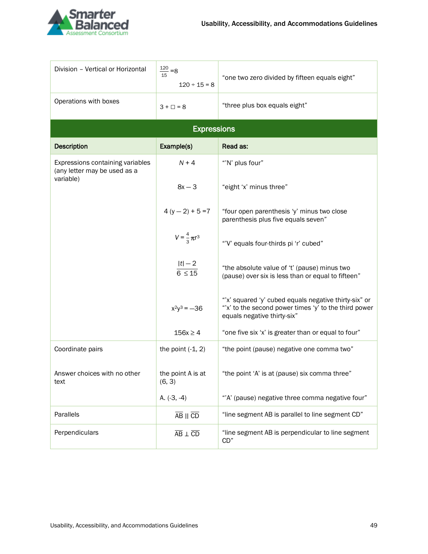

| Division - Vertical or Horizontal                                             | $\frac{120}{15} = 8$<br>$120 \div 15 = 8$ | "one two zero divided by fifteen equals eight"                                                                                               |  |  |  |  |  |  |
|-------------------------------------------------------------------------------|-------------------------------------------|----------------------------------------------------------------------------------------------------------------------------------------------|--|--|--|--|--|--|
| Operations with boxes                                                         | $3 + \Box = 8$                            | "three plus box equals eight"                                                                                                                |  |  |  |  |  |  |
| <b>Expressions</b>                                                            |                                           |                                                                                                                                              |  |  |  |  |  |  |
| <b>Description</b>                                                            | Example(s)                                | <b>Read as:</b>                                                                                                                              |  |  |  |  |  |  |
| Expressions containing variables<br>(any letter may be used as a<br>variable) | $N + 4$                                   | "'N' plus four"                                                                                                                              |  |  |  |  |  |  |
|                                                                               | $8x - 3$                                  | "eight 'x' minus three"                                                                                                                      |  |  |  |  |  |  |
|                                                                               | $4(y-2)+5=7$                              | "four open parenthesis 'y' minus two close<br>parenthesis plus five equals seven"                                                            |  |  |  |  |  |  |
|                                                                               | $V = \frac{4}{3} \pi r^3$                 | "'V' equals four-thirds pi 'r' cubed"                                                                                                        |  |  |  |  |  |  |
|                                                                               | $\frac{ t -2}{6 \leq 15}$                 | "the absolute value of 't' (pause) minus two<br>(pause) over six is less than or equal to fifteen"                                           |  |  |  |  |  |  |
|                                                                               | $x^2y^3 = -36$                            | "x' squared 'y' cubed equals negative thirty-six" or<br>"'x' to the second power times 'y' to the third power<br>equals negative thirty-six" |  |  |  |  |  |  |
|                                                                               | $156x \ge 4$                              | "one five six 'x' is greater than or equal to four"                                                                                          |  |  |  |  |  |  |
| Coordinate pairs                                                              | the point $(-1, 2)$                       | "the point (pause) negative one comma two"                                                                                                   |  |  |  |  |  |  |
| Answer choices with no other<br>text                                          | the point A is at<br>(6, 3)               | "the point 'A' is at (pause) six comma three"                                                                                                |  |  |  |  |  |  |
|                                                                               | A. $(-3, -4)$                             | "'A' (pause) negative three comma negative four"                                                                                             |  |  |  |  |  |  |
| Parallels                                                                     | $\overline{AB}$    $\overline{CD}$        | "line segment AB is parallel to line segment CD"                                                                                             |  |  |  |  |  |  |
| Perpendiculars                                                                | $\overline{AB} \perp \overline{CD}$       | "line segment AB is perpendicular to line segment<br>CD"                                                                                     |  |  |  |  |  |  |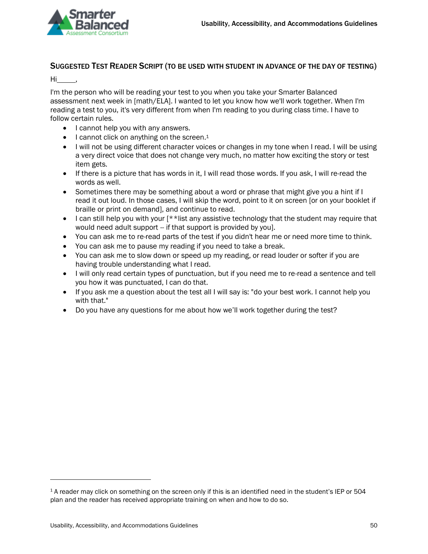

### SUGGESTED TEST READER SCRIPT (TO BE USED WITH STUDENT IN ADVANCE OF THE DAY OF TESTING)

Hi ,

I'm the person who will be reading your test to you when you take your Smarter Balanced assessment next week in [math/ELA]. I wanted to let you know how we'll work together. When I'm reading a test to you, it's very different from when I'm reading to you during class time. I have to follow certain rules.

- I cannot help you with any answers.
- I cannot click on anything on the screen.<sup>1</sup>
- I will not be using different character voices or changes in my tone when I read. I will be using a very direct voice that does not change very much, no matter how exciting the story or test item gets.
- If there is a picture that has words in it, I will read those words. If you ask, I will re-read the words as well.
- Sometimes there may be something about a word or phrase that might give you a hint if I read it out loud. In those cases, I will skip the word, point to it on screen [or on your booklet if braille or print on demand], and continue to read.
- I can still help you with your [\*\*list any assistive technology that the student may require that would need adult support -- if that support is provided by you].
- You can ask me to re-read parts of the test if you didn't hear me or need more time to think.
- You can ask me to pause my reading if you need to take a break.
- You can ask me to slow down or speed up my reading, or read louder or softer if you are having trouble understanding what I read.
- I will only read certain types of punctuation, but if you need me to re-read a sentence and tell you how it was punctuated, I can do that.
- If you ask me a question about the test all I will say is: "do your best work. I cannot help you with that."
- Do you have any questions for me about how we'll work together during the test?

 $\overline{a}$ 

<sup>1</sup> A reader may click on something on the screen only if this is an identified need in the student's IEP or 504 plan and the reader has received appropriate training on when and how to do so.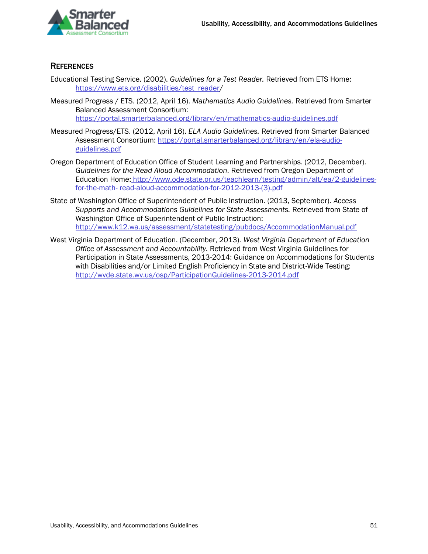

### **REFERENCES**

- Educational Testing Service. (2002). *Guidelines for a Test Reader.* Retrieved from ETS Hom[e:](https://www.ets.org/disabilities/test_reader) [https://www.ets.org/disabilities/test\\_reader/](https://www.ets.org/disabilities/test_reader)
- Measured Progress / ETS. (2012, April 16). *Mathematics Audio Guidelines.* Retrieved from Smarter Balanced Assessment Consortium: <https://portal.smarterbalanced.org/library/en/mathematics-audio-guidelines.pdf>
- Measured Progress/ETS. (2012, April 16). *ELA Audio Guidelines.* Retrieved from Smarter Balanced Assessment Consortium: [https://portal.smarterbalanced.org/library/en/ela-audio](https://portal.smarterbalanced.org/library/en/ela-audio-guidelines.pdf)[guidelines.pdf](https://portal.smarterbalanced.org/library/en/ela-audio-guidelines.pdf)
- Oregon Department of Education Office of Student Learning and Partnerships. (2012, December). *Guidelines for the Read Aloud Accommodation.* Retrieved from Oregon Department of Education Home: [http://www.ode.state.or.us/teachlearn/testing/admin/alt/ea/2-guidelines](http://www.ode.state.or.us/teachlearn/testing/admin/alt/ea/2-guidelines-for-the-math-read-aloud-accommodation-for-2012-2013-(3).pdf)[for-the-math-](http://www.ode.state.or.us/teachlearn/testing/admin/alt/ea/2-guidelines-for-the-math-read-aloud-accommodation-for-2012-2013-(3).pdf) [read-aloud-accommodation-for-2012-2013-\(3\).pdf](http://www.ode.state.or.us/teachlearn/testing/admin/alt/ea/2-guidelines-for-the-math-read-aloud-accommodation-for-2012-2013-(3).pdf)
- State of Washington Office of Superintendent of Public Instruction. (2013, September). *Access Supports and Accommodations Guidelines for State Assessments.* Retrieved from State of Washington Office of Superintendent of Public Instruction[:](http://www.k12.wa.us/assessment/statetesting/pubdocs/AccommodationManual.pdf) <http://www.k12.wa.us/assessment/statetesting/pubdocs/AccommodationManual.pdf>
- West Virginia Department of Education. (December, 2013). *West Virginia Department of Education Office of Assessment and Accountability.* Retrieved from West Virginia Guidelines for Participation in State Assessments, 2013-2014: Guidance on Accommodations for Students with Disabilities and/or Limited English Proficiency in State and District-Wide Testing: <http://wvde.state.wv.us/osp/ParticipationGuidelines-2013-2014.pdf>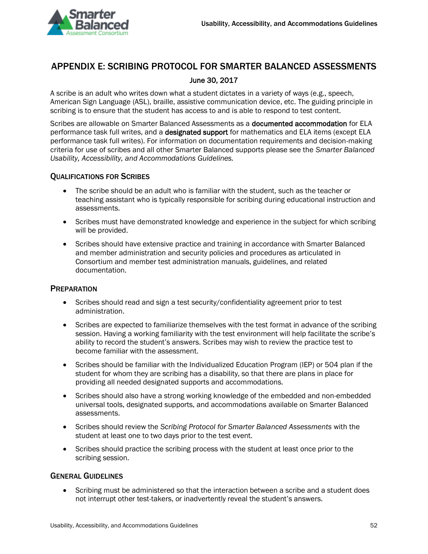

### <span id="page-53-0"></span>APPENDIX E: SCRIBING PROTOCOL FOR SMARTER BALANCED ASSESSMENTS

### June 30, 2017

A scribe is an adult who writes down what a student dictates in a variety of ways (e.g., speech, American Sign Language (ASL), braille, assistive communication device, etc. The guiding principle in scribing is to ensure that the student has access to and is able to respond to test content.

Scribes are allowable on Smarter Balanced Assessments as a documented accommodation for ELA performance task full writes, and a **designated support** for mathematics and ELA items (except ELA performance task full writes). For information on documentation requirements and decision-making criteria for use of scribes and all other Smarter Balanced supports please see the *Smarter Balanced Usability, Accessibility, and Accommodations Guidelines.*

### QUALIFICATIONS FOR SCRIBES

- The scribe should be an adult who is familiar with the student, such as the teacher or teaching assistant who is typically responsible for scribing during educational instruction and assessments.
- Scribes must have demonstrated knowledge and experience in the subject for which scribing will be provided.
- Scribes should have extensive practice and training in accordance with Smarter Balanced and member administration and security policies and procedures as articulated in Consortium and member test administration manuals, guidelines, and related documentation.

### **PREPARATION**

- Scribes should read and sign a test security/confidentiality agreement prior to test administration.
- Scribes are expected to familiarize themselves with the test format in advance of the scribing session. Having a working familiarity with the test environment will help facilitate the scribe's ability to record the student's answers. Scribes may wish to review the practice test to become familiar with the assessment.
- Scribes should be familiar with the Individualized Education Program (IEP) or 504 plan if the student for whom they are scribing has a disability, so that there are plans in place for providing all needed designated supports and accommodations.
- Scribes should also have a strong working knowledge of the embedded and non-embedded universal tools, designated supports, and accommodations available on Smarter Balanced assessments.
- Scribes should review the *Scribing Protocol for Smarter Balanced Assessments* with the student at least one to two days prior to the test event.
- Scribes should practice the scribing process with the student at least once prior to the scribing session.

### GENERAL GUIDELINES

• Scribing must be administered so that the interaction between a scribe and a student does not interrupt other test-takers, or inadvertently reveal the student's answers.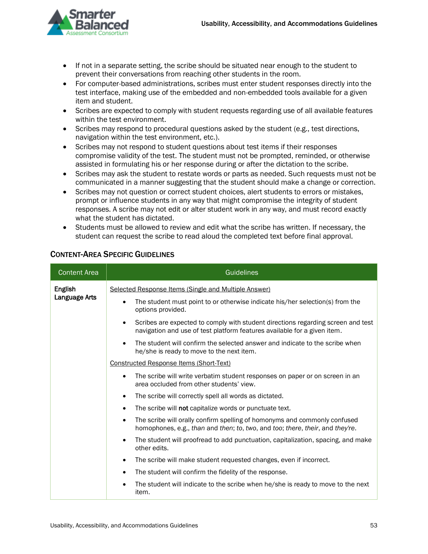

- If not in a separate setting, the scribe should be situated near enough to the student to prevent their conversations from reaching other students in the room.
- For computer-based administrations, scribes must enter student responses directly into the test interface, making use of the embedded and non-embedded tools available for a given item and student.
- Scribes are expected to comply with student requests regarding use of all available features within the test environment.
- Scribes may respond to procedural questions asked by the student (e.g., test directions, navigation within the test environment, etc.).
- Scribes may not respond to student questions about test items if their responses compromise validity of the test. The student must not be prompted, reminded, or otherwise assisted in formulating his or her response during or after the dictation to the scribe.
- Scribes may ask the student to restate words or parts as needed. Such requests must not be communicated in a manner suggesting that the student should make a change or correction.
- Scribes may not question or correct student choices, alert students to errors or mistakes, prompt or influence students in any way that might compromise the integrity of student responses. A scribe may not edit or alter student work in any way, and must record exactly what the student has dictated.
- Students must be allowed to review and edit what the scribe has written. If necessary, the student can request the scribe to read aloud the completed text before final approval.

| <b>Content Area</b> | <b>Guidelines</b>                                                                                                                                               |
|---------------------|-----------------------------------------------------------------------------------------------------------------------------------------------------------------|
| English             | Selected Response Items (Single and Multiple Answer)                                                                                                            |
| Language Arts       | The student must point to or otherwise indicate his/her selection(s) from the<br>options provided.                                                              |
|                     | Scribes are expected to comply with student directions regarding screen and test<br>navigation and use of test platform features available for a given item.    |
|                     | The student will confirm the selected answer and indicate to the scribe when<br>he/she is ready to move to the next item.                                       |
|                     | Constructed Response Items (Short-Text)                                                                                                                         |
|                     | The scribe will write verbatim student responses on paper or on screen in an<br>area occluded from other students' view.                                        |
|                     | The scribe will correctly spell all words as dictated.                                                                                                          |
|                     | The scribe will not capitalize words or punctuate text.                                                                                                         |
|                     | The scribe will orally confirm spelling of homonyms and commonly confused<br>٠<br>homophones, e.g., than and then; to, two, and too; there, their, and they're. |
|                     | The student will proofread to add punctuation, capitalization, spacing, and make<br>٠<br>other edits.                                                           |
|                     | The scribe will make student requested changes, even if incorrect.<br>٠                                                                                         |
|                     | The student will confirm the fidelity of the response.<br>٠                                                                                                     |
|                     | The student will indicate to the scribe when he/she is ready to move to the next<br>٠<br>item.                                                                  |

### CONTENT-AREA SPECIFIC GUIDELINES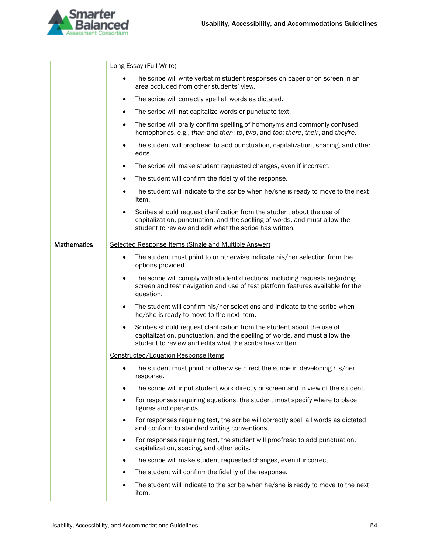

|                    | Long Essay (Full Write)                                                                                                                                                                                          |  |  |  |
|--------------------|------------------------------------------------------------------------------------------------------------------------------------------------------------------------------------------------------------------|--|--|--|
|                    | The scribe will write verbatim student responses on paper or on screen in an<br>area occluded from other students' view.                                                                                         |  |  |  |
|                    | The scribe will correctly spell all words as dictated.<br>$\bullet$                                                                                                                                              |  |  |  |
|                    | The scribe will not capitalize words or punctuate text.<br>٠                                                                                                                                                     |  |  |  |
|                    | The scribe will orally confirm spelling of homonyms and commonly confused<br>٠<br>homophones, e.g., than and then; to, two, and too; there, their, and they're.                                                  |  |  |  |
|                    | The student will proofread to add punctuation, capitalization, spacing, and other<br>$\bullet$<br>edits.                                                                                                         |  |  |  |
|                    | The scribe will make student requested changes, even if incorrect.<br>٠                                                                                                                                          |  |  |  |
|                    | The student will confirm the fidelity of the response.<br>$\bullet$                                                                                                                                              |  |  |  |
|                    | The student will indicate to the scribe when he/she is ready to move to the next<br>item.                                                                                                                        |  |  |  |
|                    | Scribes should request clarification from the student about the use of<br>capitalization, punctuation, and the spelling of words, and must allow the<br>student to review and edit what the scribe has written.  |  |  |  |
| <b>Mathematics</b> | Selected Response Items (Single and Multiple Answer)                                                                                                                                                             |  |  |  |
|                    | The student must point to or otherwise indicate his/her selection from the<br>$\bullet$<br>options provided.                                                                                                     |  |  |  |
|                    | The scribe will comply with student directions, including requests regarding<br>$\bullet$<br>screen and test navigation and use of test platform features available for the<br>question.                         |  |  |  |
|                    | The student will confirm his/her selections and indicate to the scribe when<br>$\bullet$<br>he/she is ready to move to the next item.                                                                            |  |  |  |
|                    | Scribes should request clarification from the student about the use of<br>capitalization, punctuation, and the spelling of words, and must allow the<br>student to review and edits what the scribe has written. |  |  |  |
|                    | Constructed/Equation Response Items                                                                                                                                                                              |  |  |  |
|                    | The student must point or otherwise direct the scribe in developing his/her<br>$\bullet$<br>response.                                                                                                            |  |  |  |
|                    | The scribe will input student work directly onscreen and in view of the student.                                                                                                                                 |  |  |  |
|                    | For responses requiring equations, the student must specify where to place<br>٠<br>figures and operands.                                                                                                         |  |  |  |
|                    | For responses requiring text, the scribe will correctly spell all words as dictated<br>$\bullet$<br>and conform to standard writing conventions.                                                                 |  |  |  |
|                    | For responses requiring text, the student will proofread to add punctuation,<br>٠<br>capitalization, spacing, and other edits.                                                                                   |  |  |  |
|                    | The scribe will make student requested changes, even if incorrect.<br>$\bullet$                                                                                                                                  |  |  |  |
|                    | The student will confirm the fidelity of the response.                                                                                                                                                           |  |  |  |
|                    | The student will indicate to the scribe when he/she is ready to move to the next<br>item.                                                                                                                        |  |  |  |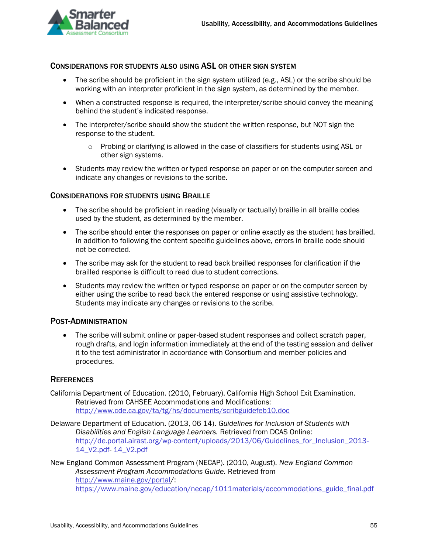

### CONSIDERATIONS FOR STUDENTS ALSO USING ASL OR OTHER SIGN SYSTEM

- The scribe should be proficient in the sign system utilized (e.g., ASL) or the scribe should be working with an interpreter proficient in the sign system, as determined by the member.
- When a constructed response is required, the interpreter/scribe should convey the meaning behind the student's indicated response.
- The interpreter/scribe should show the student the written response, but NOT sign the response to the student.
	- o Probing or clarifying is allowed in the case of classifiers for students using ASL or other sign systems.
- Students may review the written or typed response on paper or on the computer screen and indicate any changes or revisions to the scribe.

### CONSIDERATIONS FOR STUDENTS USING BRAILLE

- The scribe should be proficient in reading (visually or tactually) braille in all braille codes used by the student, as determined by the member.
- The scribe should enter the responses on paper or online exactly as the student has brailled. In addition to following the content specific guidelines above, errors in braille code should not be corrected.
- The scribe may ask for the student to read back brailled responses for clarification if the brailled response is difficult to read due to student corrections.
- Students may review the written or typed response on paper or on the computer screen by either using the scribe to read back the entered response or using assistive technology. Students may indicate any changes or revisions to the scribe.

### POST-ADMINISTRATION

• The scribe will submit online or paper-based student responses and collect scratch paper, rough drafts, and login information immediately at the end of the testing session and deliver it to the test administrator in accordance with Consortium and member policies and procedures.

### **REFERENCES**

California Department of Education. (2010, February). California High School Exit Examination. Retrieved from CAHSEE Accommodations and Modifications: <http://www.cde.ca.gov/ta/tg/hs/documents/scribguidefeb10.doc>

Delaware Department of Education. (2013, 06 14). *Guidelines for Inclusion of Students with Disabilities and English Language Learners.* Retrieved from DCAS Online: [http://de.portal.airast.org/wp-content/uploads/2013/06/Guidelines\\_for\\_Inclusion\\_2013-](http://de.portal.airast.org/wp-content/uploads/2013/06/Guidelines_for_Inclusion_2013-14_V2.pdf) [14\\_V2.pdf-](http://de.portal.airast.org/wp-content/uploads/2013/06/Guidelines_for_Inclusion_2013-14_V2.pdf) [14\\_V2.pdf](http://de.portal.airast.org/wp-content/uploads/2013/06/Guidelines_for_Inclusion_2013)

New England Common Assessment Program (NECAP). (2010, August). *New England Common Assessment Program Accommodations Guide.* Retrieved fro[m](http://www.maine.gov/portal) [http://www.maine.gov/portal/](http://www.maine.gov/portal): [https://www.maine.gov/education/necap/1011materials/accommodations\\_guide\\_final.pdf](https://www.maine.gov/education/necap/1011materials/accommodations_guide_final.pdf)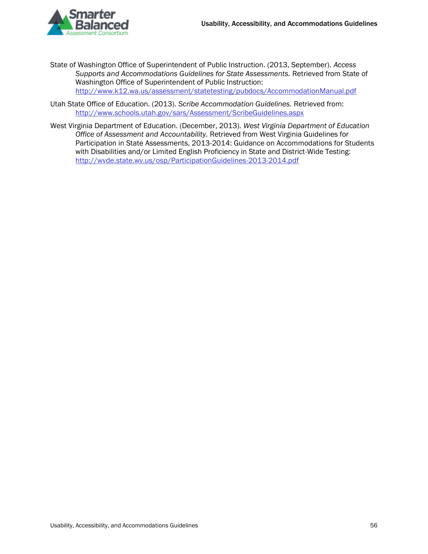

State of Washington Office of Superintendent of Public Instruction. (2013, September). *Access Supports and Accommodations Guidelines for State Assessments.* Retrieved from State of Washington Office of Superintendent of Public Instruction[:](http://www.k12.wa.us/assessment/statetesting/pubdocs/AccommodationManual.pdf) <http://www.k12.wa.us/assessment/statetesting/pubdocs/AccommodationManual.pdf>

Utah State Office of Education. (2013). *Scribe Accommodation Guidelines.* Retrieved from: <http://www.schools.utah.gov/sars/Assessment/ScribeGuidelines.aspx>

West Virginia Department of Education. (December, 2013). *West Virginia Department of Education Office of Assessment and Accountability.* Retrieved from West Virginia Guidelines for Participation in State Assessments, 2013-2014: Guidance on Accommodations for Students with Disabilities and/or Limited English Proficiency in State and District-Wide Testing: <http://wvde.state.wv.us/osp/ParticipationGuidelines-2013-2014.pdf>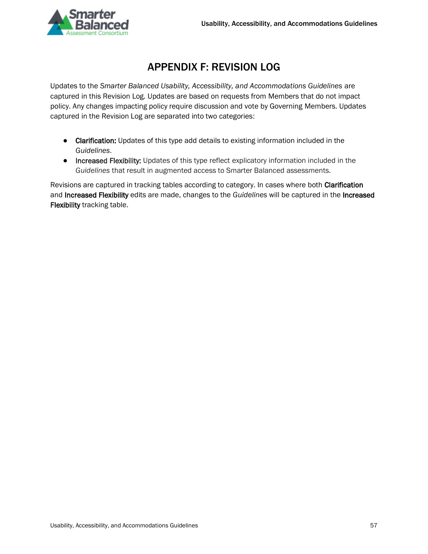

# APPENDIX F: REVISION LOG

<span id="page-58-0"></span>Updates to the *Smarter Balanced Usability, Accessibility, and Accommodations Guidelines* are captured in this Revision Log*.* Updates are based on requests from Members that do not impact policy. Any changes impacting policy require discussion and vote by Governing Members. Updates captured in the Revision Log are separated into two categories:

- Clarification: Updates of this type add details to existing information included in the *Guidelines*.
- Increased Flexibility: Updates of this type reflect explicatory information included in the *Guidelines* that result in augmented access to Smarter Balanced assessments.

Revisions are captured in tracking tables according to category. In cases where both Clarification and Increased Flexibility edits are made, changes to the *Guidelines* will be captured in the Increased Flexibility tracking table.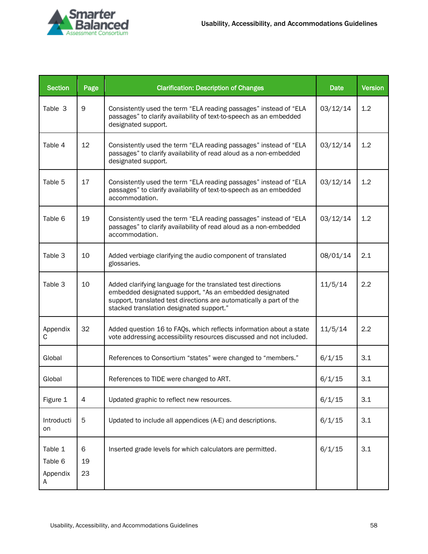

| <b>Section</b>                      | Page          | <b>Clarification: Description of Changes</b>                                                                                                                                                                                               | <b>Date</b> | <b>Version</b> |
|-------------------------------------|---------------|--------------------------------------------------------------------------------------------------------------------------------------------------------------------------------------------------------------------------------------------|-------------|----------------|
| Table 3                             | 9             | Consistently used the term "ELA reading passages" instead of "ELA<br>passages" to clarify availability of text-to-speech as an embedded<br>designated support.                                                                             | 03/12/14    | 1.2            |
| Table 4                             | 12            | Consistently used the term "ELA reading passages" instead of "ELA<br>passages" to clarify availability of read aloud as a non-embedded<br>designated support.                                                                              | 03/12/14    | 1.2            |
| Table 5                             | 17            | Consistently used the term "ELA reading passages" instead of "ELA<br>passages" to clarify availability of text-to-speech as an embedded<br>accommodation.                                                                                  | 03/12/14    | 1.2            |
| Table 6                             | 19            | Consistently used the term "ELA reading passages" instead of "ELA<br>passages" to clarify availability of read aloud as a non-embedded<br>accommodation.                                                                                   | 03/12/14    | 1.2            |
| Table 3                             | 10            | Added verbiage clarifying the audio component of translated<br>glossaries.                                                                                                                                                                 | 08/01/14    | 2.1            |
| Table 3                             | 10            | Added clarifying language for the translated test directions<br>embedded designated support, "As an embedded designated<br>support, translated test directions are automatically a part of the<br>stacked translation designated support." | 11/5/14     | 2.2            |
| Appendix<br>С                       | 32            | Added question 16 to FAQs, which reflects information about a state<br>vote addressing accessibility resources discussed and not included.                                                                                                 | 11/5/14     | 2.2            |
| Global                              |               | References to Consortium "states" were changed to "members."                                                                                                                                                                               | 6/1/15      | 3.1            |
| Global                              |               | References to TIDE were changed to ART.                                                                                                                                                                                                    | 6/1/15      | 3.1            |
| Figure 1                            | 4             | Updated graphic to reflect new resources.                                                                                                                                                                                                  | 6/1/15      | 3.1            |
| Introducti<br>on                    | 5             | Updated to include all appendices (A-E) and descriptions.                                                                                                                                                                                  | 6/1/15      | 3.1            |
| Table 1<br>Table 6<br>Appendix<br>A | 6<br>19<br>23 | Inserted grade levels for which calculators are permitted.                                                                                                                                                                                 | 6/1/15      | 3.1            |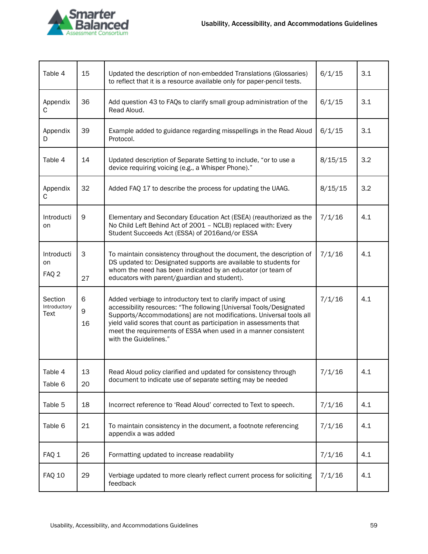

| Table 4                              | 15           | Updated the description of non-embedded Translations (Glossaries)<br>to reflect that it is a resource available only for paper-pencil tests.                                                                                                                                                                                                                                  | 6/1/15  | 3.1 |
|--------------------------------------|--------------|-------------------------------------------------------------------------------------------------------------------------------------------------------------------------------------------------------------------------------------------------------------------------------------------------------------------------------------------------------------------------------|---------|-----|
| Appendix<br>С                        | 36           | Add question 43 to FAQs to clarify small group administration of the<br>Read Aloud.                                                                                                                                                                                                                                                                                           | 6/1/15  | 3.1 |
| Appendix<br>D                        | 39           | Example added to guidance regarding misspellings in the Read Aloud<br>Protocol.                                                                                                                                                                                                                                                                                               | 6/1/15  | 3.1 |
| Table 4                              | 14           | Updated description of Separate Setting to include, "or to use a<br>device requiring voicing (e.g., a Whisper Phone)."                                                                                                                                                                                                                                                        | 8/15/15 | 3.2 |
| Appendix<br>С                        | 32           | Added FAQ 17 to describe the process for updating the UAAG.                                                                                                                                                                                                                                                                                                                   | 8/15/15 | 3.2 |
| Introducti<br>on                     | 9            | Elementary and Secondary Education Act (ESEA) (reauthorized as the<br>No Child Left Behind Act of 2001 - NCLB) replaced with: Every<br>Student Succeeds Act (ESSA) of 2016and/or ESSA                                                                                                                                                                                         | 7/1/16  | 4.1 |
| Introducti<br>on<br>FAQ <sub>2</sub> | 3<br>27      | To maintain consistency throughout the document, the description of<br>DS updated to: Designated supports are available to students for<br>whom the need has been indicated by an educator (or team of<br>educators with parent/guardian and student).                                                                                                                        | 7/1/16  | 4.1 |
| Section<br>Introductory<br>Text      | 6<br>9<br>16 | Added verbiage to introductory text to clarify impact of using<br>accessibility resources: "The following [Universal Tools/Designated<br>Supports/Accommodations] are not modifications. Universal tools all<br>yield valid scores that count as participation in assessments that<br>meet the requirements of ESSA when used in a manner consistent<br>with the Guidelines." | 7/1/16  | 4.1 |
| Table 4<br>Table 6                   | 13<br>20     | Read Aloud policy clarified and updated for consistency through<br>document to indicate use of separate setting may be needed                                                                                                                                                                                                                                                 | 7/1/16  | 4.1 |
| Table 5                              | 18           | Incorrect reference to 'Read Aloud' corrected to Text to speech.                                                                                                                                                                                                                                                                                                              | 7/1/16  | 4.1 |
| Table 6                              | 21           | To maintain consistency in the document, a footnote referencing<br>appendix a was added                                                                                                                                                                                                                                                                                       | 7/1/16  | 4.1 |
| FAQ 1                                | 26           | Formatting updated to increase readability                                                                                                                                                                                                                                                                                                                                    | 7/1/16  | 4.1 |
| <b>FAQ 10</b>                        | 29           | Verbiage updated to more clearly reflect current process for soliciting<br>feedback                                                                                                                                                                                                                                                                                           | 7/1/16  | 4.1 |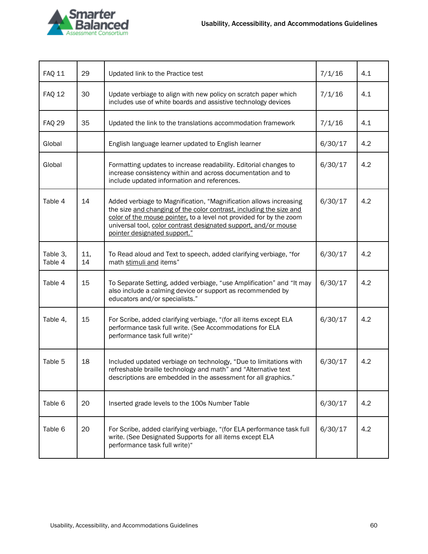



| <b>FAQ 11</b>       | 29        | Updated link to the Practice test                                                                                                                                                                                                                                                                                  | 7/1/16  | 4.1 |
|---------------------|-----------|--------------------------------------------------------------------------------------------------------------------------------------------------------------------------------------------------------------------------------------------------------------------------------------------------------------------|---------|-----|
| <b>FAQ 12</b>       | 30        | Update verbiage to align with new policy on scratch paper which<br>includes use of white boards and assistive technology devices                                                                                                                                                                                   | 7/1/16  | 4.1 |
| <b>FAQ 29</b>       | 35        | Updated the link to the translations accommodation framework                                                                                                                                                                                                                                                       | 7/1/16  | 4.1 |
| Global              |           | English language learner updated to English learner                                                                                                                                                                                                                                                                | 6/30/17 | 4.2 |
| Global              |           | Formatting updates to increase readability. Editorial changes to<br>increase consistency within and across documentation and to<br>include updated information and references.                                                                                                                                     | 6/30/17 | 4.2 |
| Table 4             | 14        | Added verbiage to Magnification, "Magnification allows increasing<br>the size and changing of the color contrast, including the size and<br>color of the mouse pointer, to a level not provided for by the zoom<br>universal tool, color contrast designated support, and/or mouse<br>pointer designated support." | 6/30/17 | 4.2 |
| Table 3,<br>Table 4 | 11,<br>14 | To Read aloud and Text to speech, added clarifying verbiage, "for<br>math stimuli and items"                                                                                                                                                                                                                       | 6/30/17 | 4.2 |
| Table 4             | 15        | To Separate Setting, added verbiage, "use Amplification" and "It may<br>also include a calming device or support as recommended by<br>educators and/or specialists."                                                                                                                                               | 6/30/17 | 4.2 |
| Table 4,            | 15        | For Scribe, added clarifying verbiage, "(for all items except ELA<br>performance task full write. (See Accommodations for ELA<br>performance task full write)"                                                                                                                                                     | 6/30/17 | 4.2 |
| Table 5             | 18        | Included updated verbiage on technology, "Due to limitations with<br>refreshable braille technology and math" and "Alternative text<br>descriptions are embedded in the assessment for all graphics.'                                                                                                              | 6/30/17 | 4.2 |
| Table 6             | 20        | Inserted grade levels to the 100s Number Table                                                                                                                                                                                                                                                                     | 6/30/17 | 4.2 |
| Table 6             | 20        | For Scribe, added clarifying verbiage, "(for ELA performance task full<br>write. (See Designated Supports for all items except ELA<br>performance task full write)"                                                                                                                                                | 6/30/17 | 4.2 |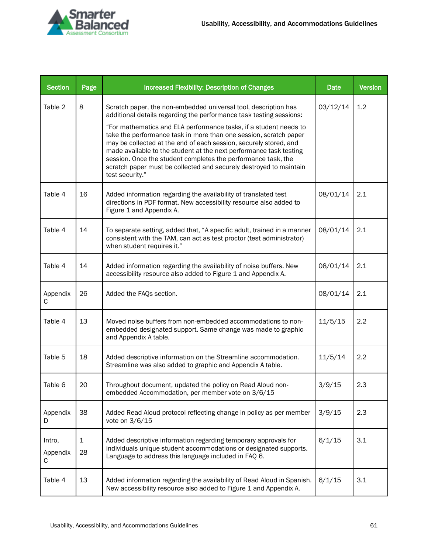

| <b>Section</b>          | Page    | <b>Increased Flexibility: Description of Changes</b>                                                                                                                                                                                                                                                                                                                                                                                        | Date     | <b>Version</b> |
|-------------------------|---------|---------------------------------------------------------------------------------------------------------------------------------------------------------------------------------------------------------------------------------------------------------------------------------------------------------------------------------------------------------------------------------------------------------------------------------------------|----------|----------------|
| Table 2                 | 8       | Scratch paper, the non-embedded universal tool, description has<br>additional details regarding the performance task testing sessions:                                                                                                                                                                                                                                                                                                      | 03/12/14 | 1.2            |
|                         |         | "For mathematics and ELA performance tasks, if a student needs to<br>take the performance task in more than one session, scratch paper<br>may be collected at the end of each session, securely stored, and<br>made available to the student at the next performance task testing<br>session. Once the student completes the performance task, the<br>scratch paper must be collected and securely destroyed to maintain<br>test security." |          |                |
| Table 4                 | 16      | Added information regarding the availability of translated test<br>directions in PDF format. New accessibility resource also added to<br>Figure 1 and Appendix A.                                                                                                                                                                                                                                                                           | 08/01/14 | 2.1            |
| Table 4                 | 14      | To separate setting, added that, "A specific adult, trained in a manner<br>consistent with the TAM, can act as test proctor (test administrator)<br>when student requires it."                                                                                                                                                                                                                                                              | 08/01/14 | 2.1            |
| Table 4                 | 14      | Added information regarding the availability of noise buffers. New<br>accessibility resource also added to Figure 1 and Appendix A.                                                                                                                                                                                                                                                                                                         | 08/01/14 | 2.1            |
| Appendix<br>С           | 26      | Added the FAQs section.                                                                                                                                                                                                                                                                                                                                                                                                                     | 08/01/14 | 2.1            |
| Table 4                 | 13      | Moved noise buffers from non-embedded accommodations to non-<br>embedded designated support. Same change was made to graphic<br>and Appendix A table.                                                                                                                                                                                                                                                                                       | 11/5/15  | 2.2            |
| Table 5                 | 18      | Added descriptive information on the Streamline accommodation.<br>Streamline was also added to graphic and Appendix A table.                                                                                                                                                                                                                                                                                                                | 11/5/14  | 2.2            |
| Table 6                 | 20      | Throughout document, updated the policy on Read Aloud non-<br>embedded Accommodation, per member vote on 3/6/15                                                                                                                                                                                                                                                                                                                             | 3/9/15   | 2.3            |
| Appendix<br>D           | 38      | Added Read Aloud protocol reflecting change in policy as per member<br>vote on 3/6/15                                                                                                                                                                                                                                                                                                                                                       | 3/9/15   | 2.3            |
| Intro,<br>Appendix<br>С | 1<br>28 | Added descriptive information regarding temporary approvals for<br>individuals unique student accommodations or designated supports.<br>Language to address this language included in FAQ 6.                                                                                                                                                                                                                                                | 6/1/15   | 3.1            |
| Table 4                 | 13      | Added information regarding the availability of Read Aloud in Spanish.<br>New accessibility resource also added to Figure 1 and Appendix A.                                                                                                                                                                                                                                                                                                 | 6/1/15   | 3.1            |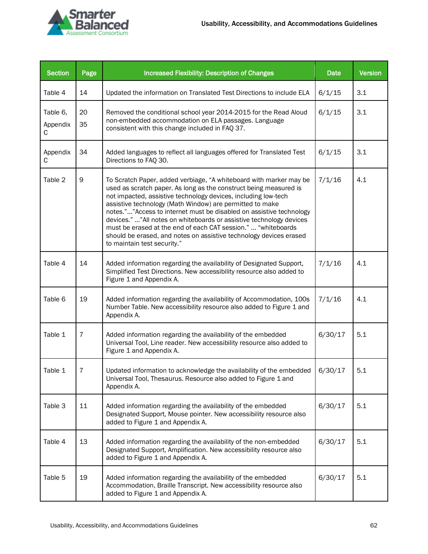

| <b>Section</b>            | Page     | <b>Increased Flexibility: Description of Changes</b>                                                                                                                                                                                                                                                                                                                                                                                                                                                                                                                                      | Date    | <b>Version</b> |
|---------------------------|----------|-------------------------------------------------------------------------------------------------------------------------------------------------------------------------------------------------------------------------------------------------------------------------------------------------------------------------------------------------------------------------------------------------------------------------------------------------------------------------------------------------------------------------------------------------------------------------------------------|---------|----------------|
| Table 4                   | 14       | Updated the information on Translated Test Directions to include ELA                                                                                                                                                                                                                                                                                                                                                                                                                                                                                                                      | 6/1/15  | 3.1            |
| Table 6,<br>Appendix<br>C | 20<br>35 | Removed the conditional school year 2014-2015 for the Read Aloud<br>non-embedded accommodation on ELA passages. Language<br>consistent with this change included in FAQ 37.                                                                                                                                                                                                                                                                                                                                                                                                               | 6/1/15  | 3.1            |
| Appendix<br>C             | 34       | Added languages to reflect all languages offered for Translated Test<br>Directions to FAQ 30.                                                                                                                                                                                                                                                                                                                                                                                                                                                                                             | 6/1/15  | 3.1            |
| Table 2                   | 9        | To Scratch Paper, added verbiage, "A whiteboard with marker may be<br>used as scratch paper. As long as the construct being measured is<br>not impacted, assistive technology devices, including low-tech<br>assistive technology (Math Window) are permitted to make<br>notes.""Access to internet must be disabled on assistive technology<br>devices." "All notes on whiteboards or assistive technology devices<br>must be erased at the end of each CAT session."  "whiteboards<br>should be erased, and notes on assistive technology devices erased<br>to maintain test security." | 7/1/16  | 4.1            |
| Table 4                   | 14       | Added information regarding the availability of Designated Support,<br>Simplified Test Directions. New accessibility resource also added to<br>Figure 1 and Appendix A.                                                                                                                                                                                                                                                                                                                                                                                                                   | 7/1/16  | 4.1            |
| Table 6                   | 19       | Added information regarding the availability of Accommodation, 100s<br>Number Table. New accessibility resource also added to Figure 1 and<br>Appendix A.                                                                                                                                                                                                                                                                                                                                                                                                                                 | 7/1/16  | 4.1            |
| Table 1                   | 7        | Added information regarding the availability of the embedded<br>Universal Tool, Line reader. New accessibility resource also added to<br>Figure 1 and Appendix A.                                                                                                                                                                                                                                                                                                                                                                                                                         | 6/30/17 | 5.1            |
| Table 1                   | 7        | Updated information to acknowledge the availability of the embedded<br>Universal Tool, Thesaurus. Resource also added to Figure 1 and<br>Appendix A.                                                                                                                                                                                                                                                                                                                                                                                                                                      | 6/30/17 | 5.1            |
| Table 3                   | 11       | Added information regarding the availability of the embedded<br>Designated Support, Mouse pointer. New accessibility resource also<br>added to Figure 1 and Appendix A.                                                                                                                                                                                                                                                                                                                                                                                                                   | 6/30/17 | 5.1            |
| Table 4                   | 13       | Added information regarding the availability of the non-embedded<br>Designated Support, Amplification. New accessibility resource also<br>added to Figure 1 and Appendix A.                                                                                                                                                                                                                                                                                                                                                                                                               | 6/30/17 | 5.1            |
| Table 5                   | 19       | Added information regarding the availability of the embedded<br>Accommodation, Braille Transcript. New accessibility resource also<br>added to Figure 1 and Appendix A.                                                                                                                                                                                                                                                                                                                                                                                                                   | 6/30/17 | 5.1            |